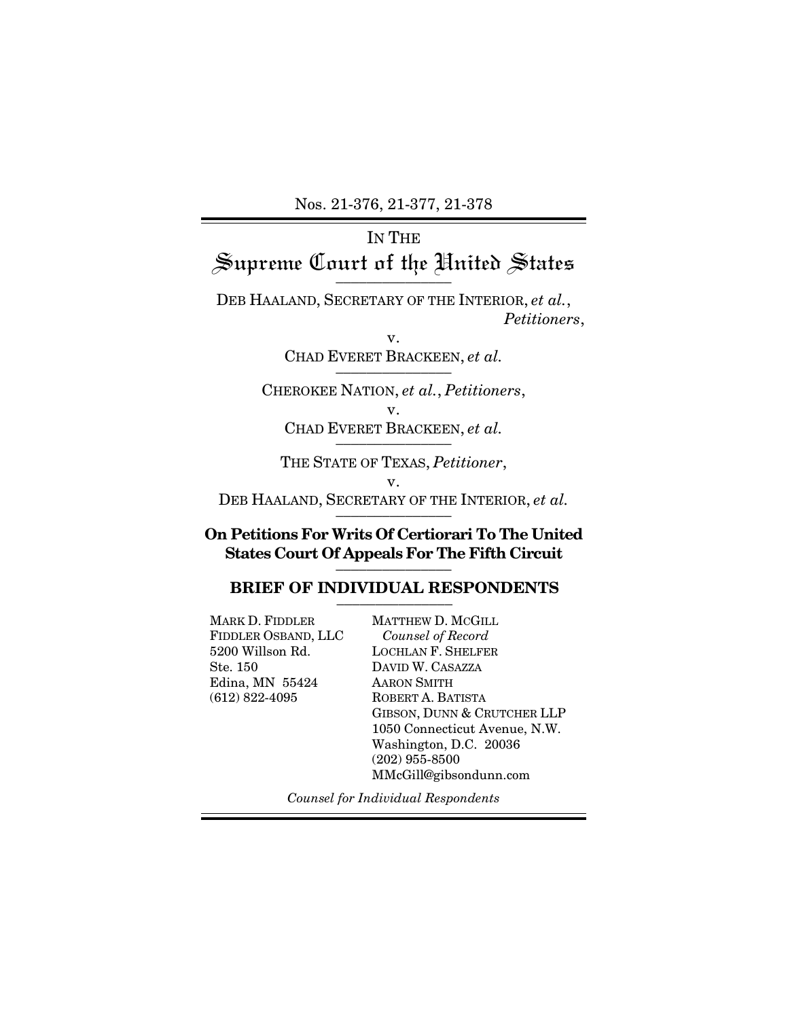Nos. 21-376, 21-377, 21-378

# IN THE Supreme Court of the United States \_\_\_\_\_\_\_\_\_\_\_\_\_\_\_

DEB HAALAND, SECRETARY OF THE INTERIOR, *et al.*, *Petitioners*,

> v. CHAD EVERET BRACKEEN, et al.

CHEROKEE NATION, *et al.*, *Petitioners*, v. CHAD EVERET BRACKEEN, et al.

THE STATE OF TEXAS, *Petitioner*, v. DEB HAALAND, SECRETARY OF THE INTERIOR, *et al.* 

## **On Petitions For Writs Of Certiorari To The United States Court Of Appeals For The Fifth Circuit** \_\_\_\_\_\_\_\_\_\_\_\_\_\_\_

### BRIEF OF INDIVIDUAL RESPONDENTS

MARK D. FIDDLER FIDDLER OSBAND, LLC 5200 Willson Rd. Ste. 150 Edina, MN 55424 (612) 822-4095

MATTHEW D. MCGILL *Counsel of Record* LOCHLAN F. SHELFER DAVID W. CASAZZA AARON SMITH ROBERT A. BATISTA GIBSON, DUNN & CRUTCHER LLP 1050 Connecticut Avenue, N.W. Washington, D.C. 20036 (202) 955-8500 MMcGill@gibsondunn.com

*Counsel for Individual Respondents*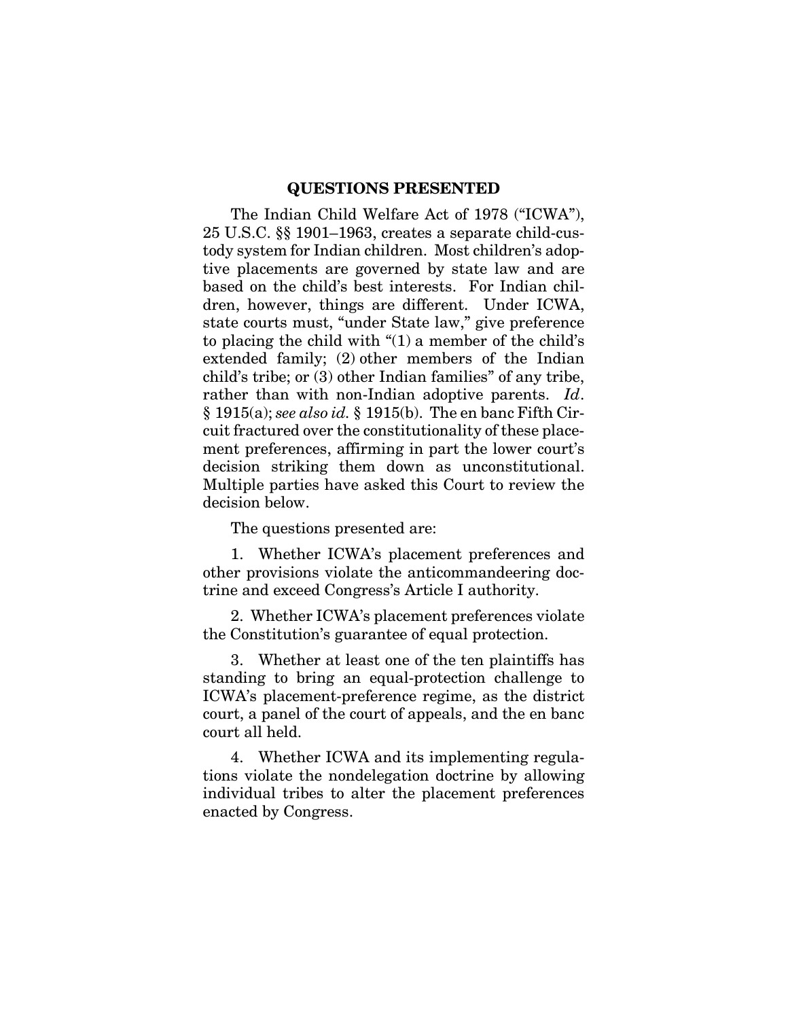#### **QUESTIONS PRESENTED**

The Indian Child Welfare Act of 1978 ("ICWA"), 25 U.S.C. §§ 1901–1963, creates a separate child-custody system for Indian children. Most children's adoptive placements are governed by state law and are based on the child's best interests. For Indian children, however, things are different. Under ICWA, state courts must, "under State law," give preference to placing the child with "(1) a member of the child's extended family; (2) other members of the Indian child's tribe; or (3) other Indian families" of any tribe, rather than with non-Indian adoptive parents. *Id*. § 1915(a); *see also id.* § 1915(b). The en banc Fifth Circuit fractured over the constitutionality of these placement preferences, affirming in part the lower court's decision striking them down as unconstitutional. Multiple parties have asked this Court to review the decision below.

The questions presented are:

1. Whether ICWA's placement preferences and other provisions violate the anticommandeering doctrine and exceed Congress's Article I authority.

2. Whether ICWA's placement preferences violate the Constitution's guarantee of equal protection.

3. Whether at least one of the ten plaintiffs has standing to bring an equal-protection challenge to ICWA's placement-preference regime, as the district court, a panel of the court of appeals, and the en banc court all held.

4. Whether ICWA and its implementing regulations violate the nondelegation doctrine by allowing individual tribes to alter the placement preferences enacted by Congress.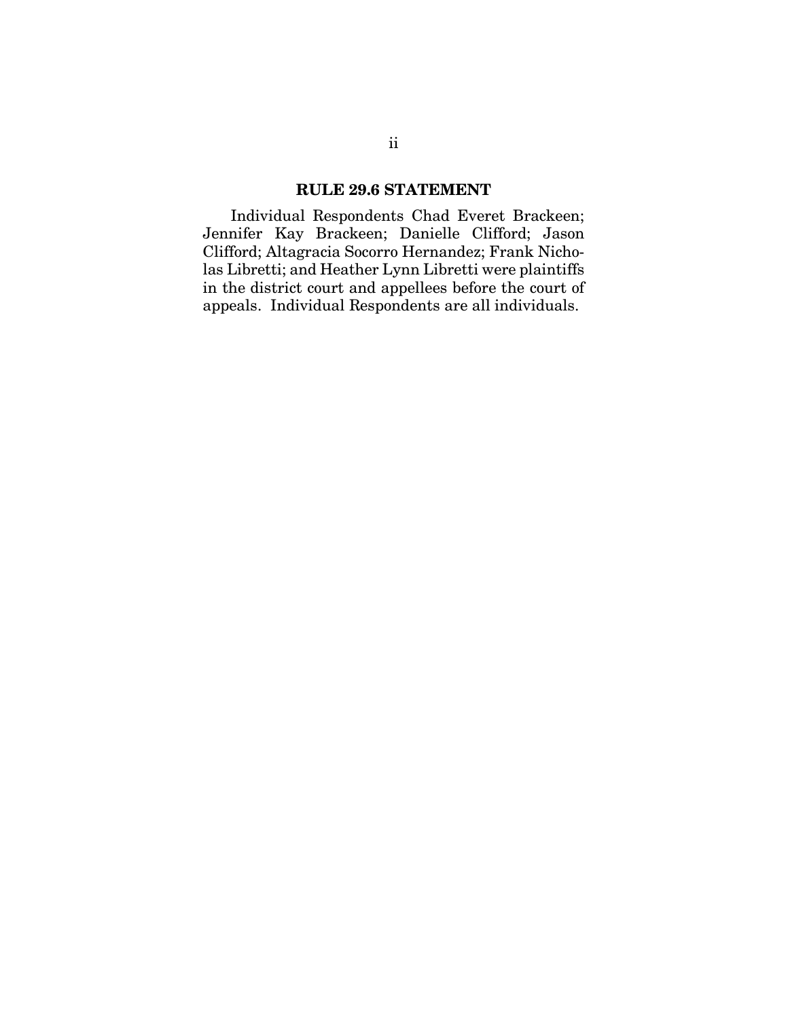## **RULE 29.6 STATEMENT**

Individual Respondents Chad Everet Brackeen; Jennifer Kay Brackeen; Danielle Clifford; Jason Clifford; Altagracia Socorro Hernandez; Frank Nicholas Libretti; and Heather Lynn Libretti were plaintiffs in the district court and appellees before the court of appeals. Individual Respondents are all individuals.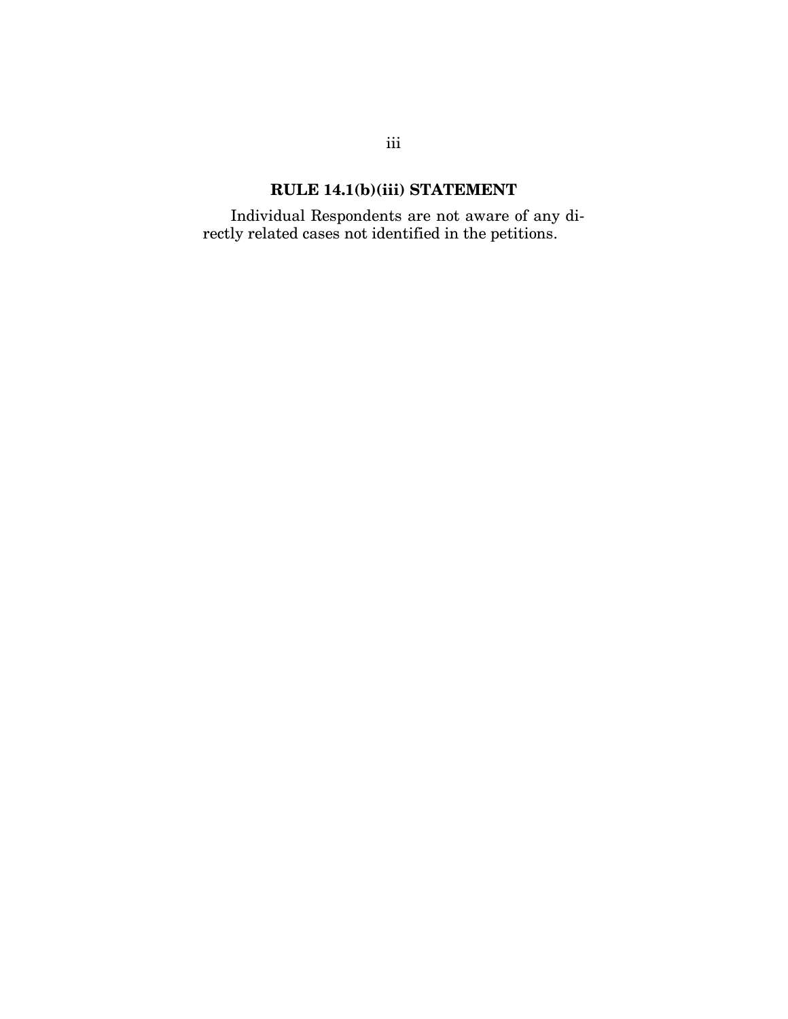# **RULE 14.1(b)(iii) STATEMENT**

Individual Respondents are not aware of any directly related cases not identified in the petitions.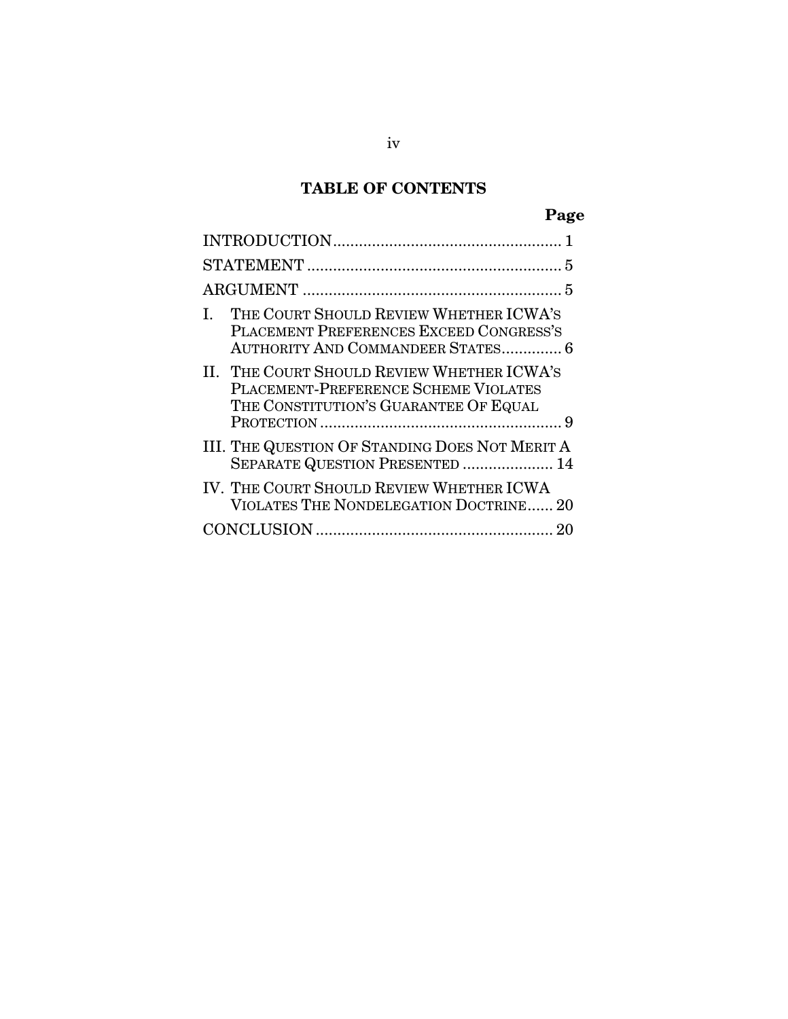# **TABLE OF CONTENTS**

# **Page**

| THE COURT SHOULD REVIEW WHETHER ICWA'S<br>PLACEMENT PREFERENCES EXCEED CONGRESS'S<br><b>AUTHORITY AND COMMANDEER STATES 6</b> |  |  |
|-------------------------------------------------------------------------------------------------------------------------------|--|--|
| II. THE COURT SHOULD REVIEW WHETHER ICWA'S<br>PLACEMENT-PREFERENCE SCHEME VIOLATES<br>THE CONSTITUTION'S GUARANTEE OF EQUAL   |  |  |
| III. THE QUESTION OF STANDING DOES NOT MERIT A<br>SEPARATE QUESTION PRESENTED  14                                             |  |  |
| IV. THE COURT SHOULD REVIEW WHETHER ICWA<br>VIOLATES THE NONDELEGATION DOCTRINE 20                                            |  |  |
|                                                                                                                               |  |  |
|                                                                                                                               |  |  |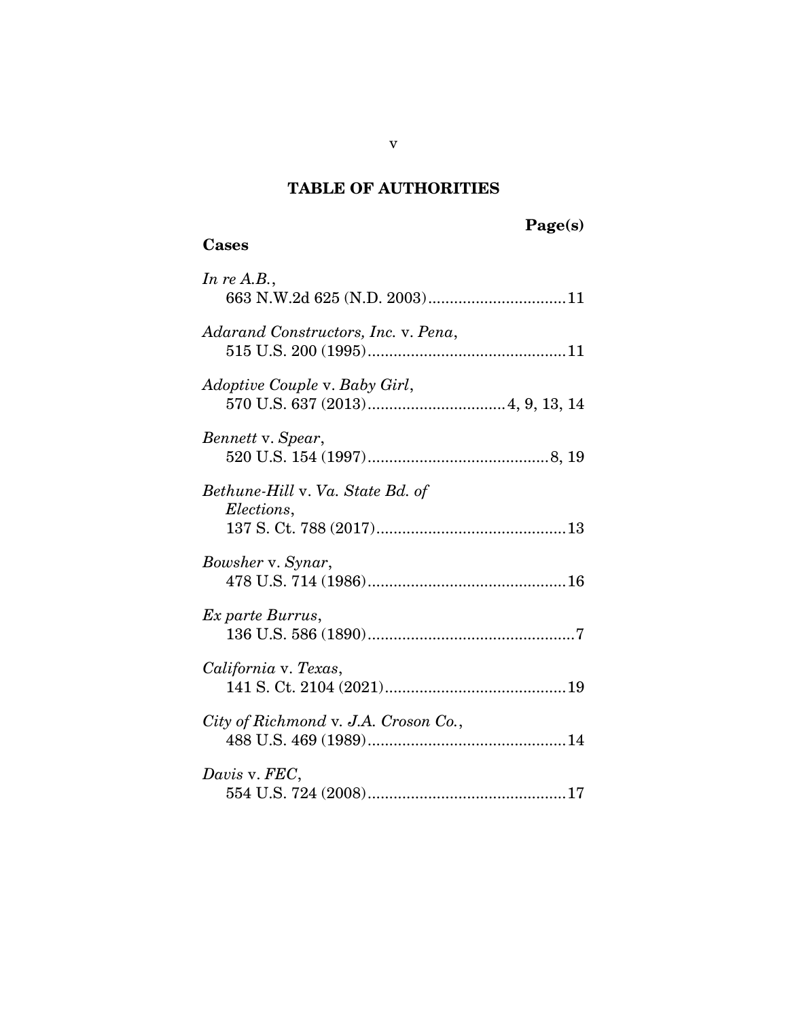# **TABLE OF AUTHORITIES**

# **Page(s)**

## **Cases**

| In re $A.B.,$                                  |
|------------------------------------------------|
| Adarand Constructors, Inc. v. Pena,            |
| Adoptive Couple v. Baby Girl,                  |
| Bennett v. Spear,                              |
| Bethune-Hill v. Va. State Bd. of<br>Elections, |
| Bowsher v. Synar,                              |
| Ex parte Burrus,                               |
| California v. Texas,                           |
| City of Richmond v. J.A. Croson Co.,           |
| Davis v. FEC,                                  |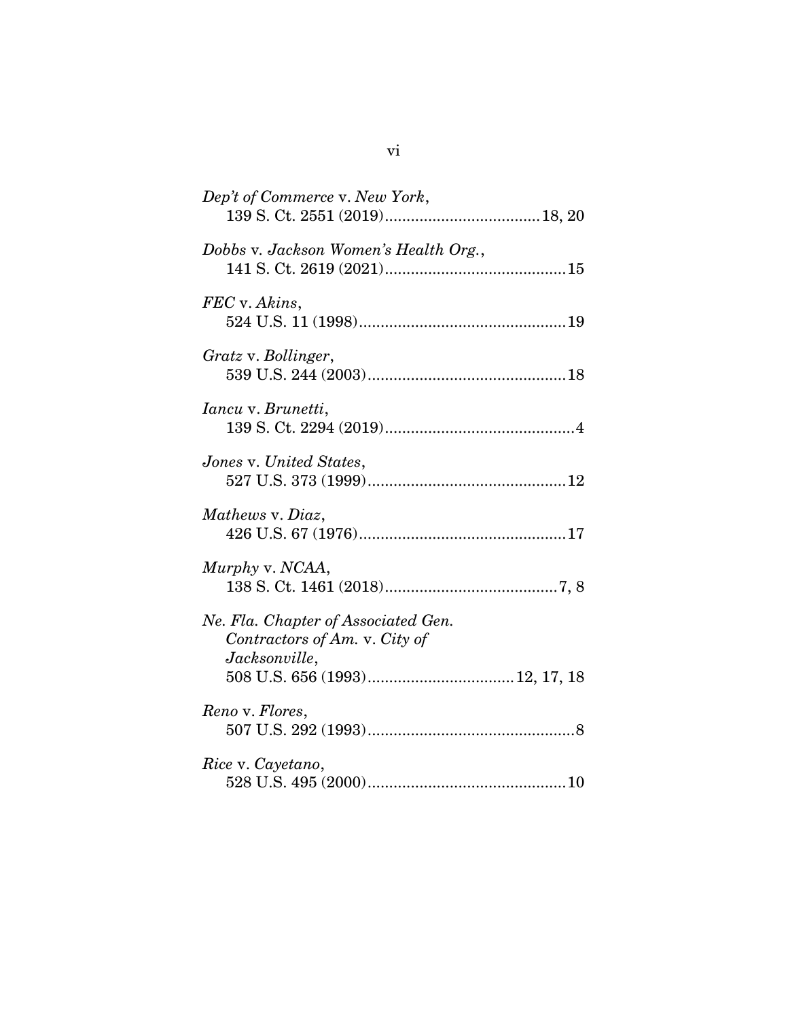| Dep't of Commerce v. New York,                                                        |
|---------------------------------------------------------------------------------------|
| Dobbs v. Jackson Women's Health Org.,                                                 |
| FEC v. Akins,                                                                         |
| Gratz v. Bollinger,                                                                   |
| <i>Iancu</i> v. <i>Brunetti</i> ,                                                     |
| Jones v. United States,                                                               |
| Mathews v. Diaz,                                                                      |
| Murphy v. NCAA,                                                                       |
| Ne. Fla. Chapter of Associated Gen.<br>Contractors of Am. v. City of<br>Jacksonville, |
| Reno v. Flores,                                                                       |
| Rice v. Cayetano,                                                                     |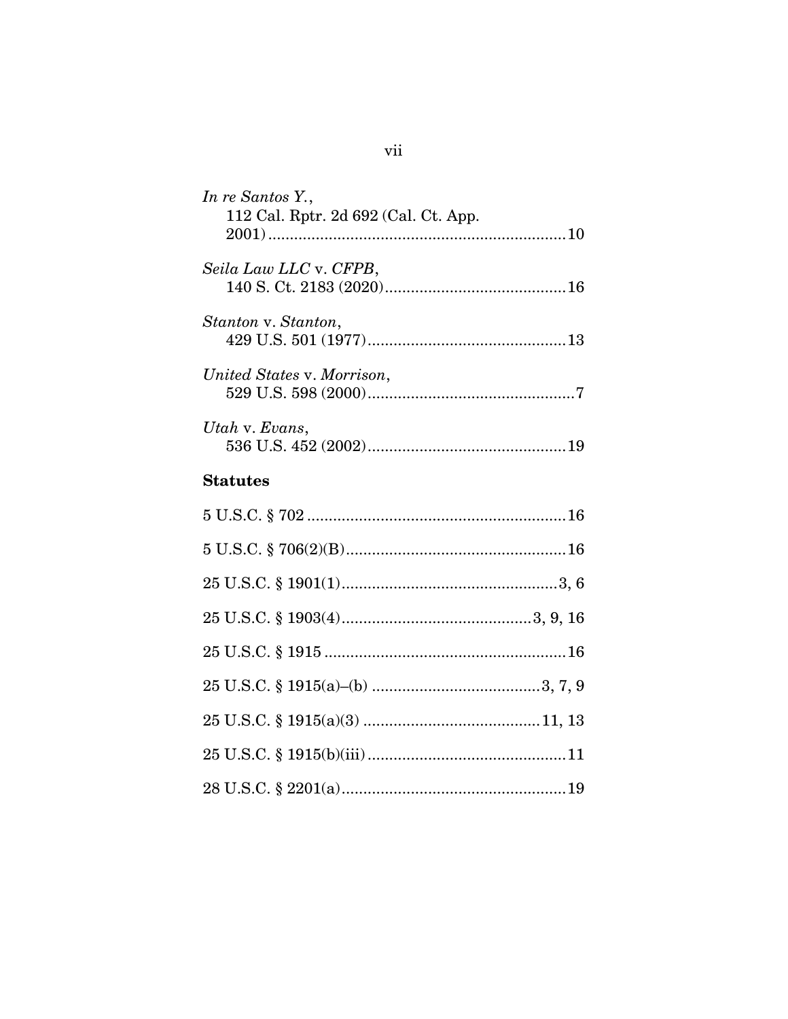| In re Santos Y.,<br>112 Cal. Rptr. 2d 692 (Cal. Ct. App. |
|----------------------------------------------------------|
| Seila Law LLC v. CFPB,                                   |
| Stanton v. Stanton,                                      |
| United States v. Morrison,                               |
| Utah v. Evans,                                           |
|                                                          |
| <b>Statutes</b>                                          |
|                                                          |
|                                                          |
|                                                          |
|                                                          |
|                                                          |
|                                                          |
|                                                          |
|                                                          |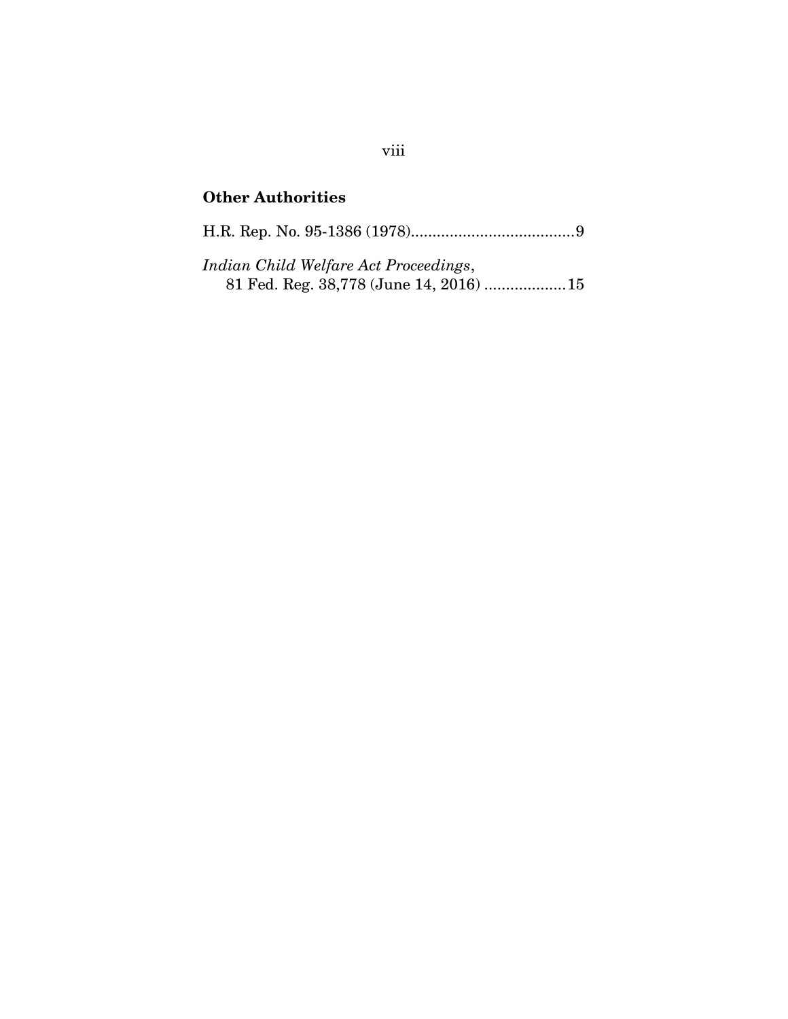# **Other Authorities**

H.R. Rep. No. 95-1386 (1978)......................................9

*Indian Child Welfare Act Proceedings*, 81 Fed. Reg. 38,778 (June 14, 2016) ...................15

## viii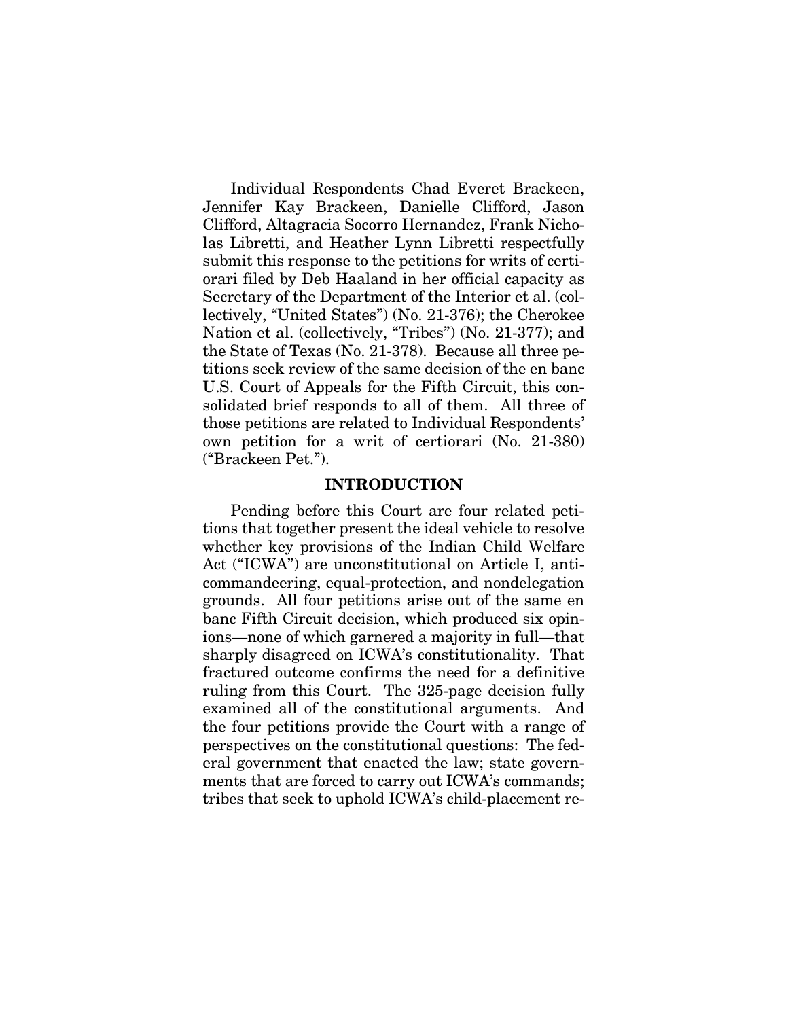Individual Respondents Chad Everet Brackeen, Jennifer Kay Brackeen, Danielle Clifford, Jason Clifford, Altagracia Socorro Hernandez, Frank Nicholas Libretti, and Heather Lynn Libretti respectfully submit this response to the petitions for writs of certiorari filed by Deb Haaland in her official capacity as Secretary of the Department of the Interior et al. (collectively, "United States") (No. 21-376); the Cherokee Nation et al. (collectively, "Tribes") (No. 21-377); and the State of Texas (No. 21-378). Because all three petitions seek review of the same decision of the en banc U.S. Court of Appeals for the Fifth Circuit, this consolidated brief responds to all of them. All three of those petitions are related to Individual Respondents' own petition for a writ of certiorari (No. 21-380) ("Brackeen Pet.").

### **INTRODUCTION**

<span id="page-9-0"></span>Pending before this Court are four related petitions that together present the ideal vehicle to resolve whether key provisions of the Indian Child Welfare Act ("ICWA") are unconstitutional on Article I, anticommandeering, equal-protection, and nondelegation grounds. All four petitions arise out of the same en banc Fifth Circuit decision, which produced six opinions—none of which garnered a majority in full—that sharply disagreed on ICWA's constitutionality. That fractured outcome confirms the need for a definitive ruling from this Court. The 325-page decision fully examined all of the constitutional arguments. And the four petitions provide the Court with a range of perspectives on the constitutional questions: The federal government that enacted the law; state governments that are forced to carry out ICWA's commands; tribes that seek to uphold ICWA's child-placement re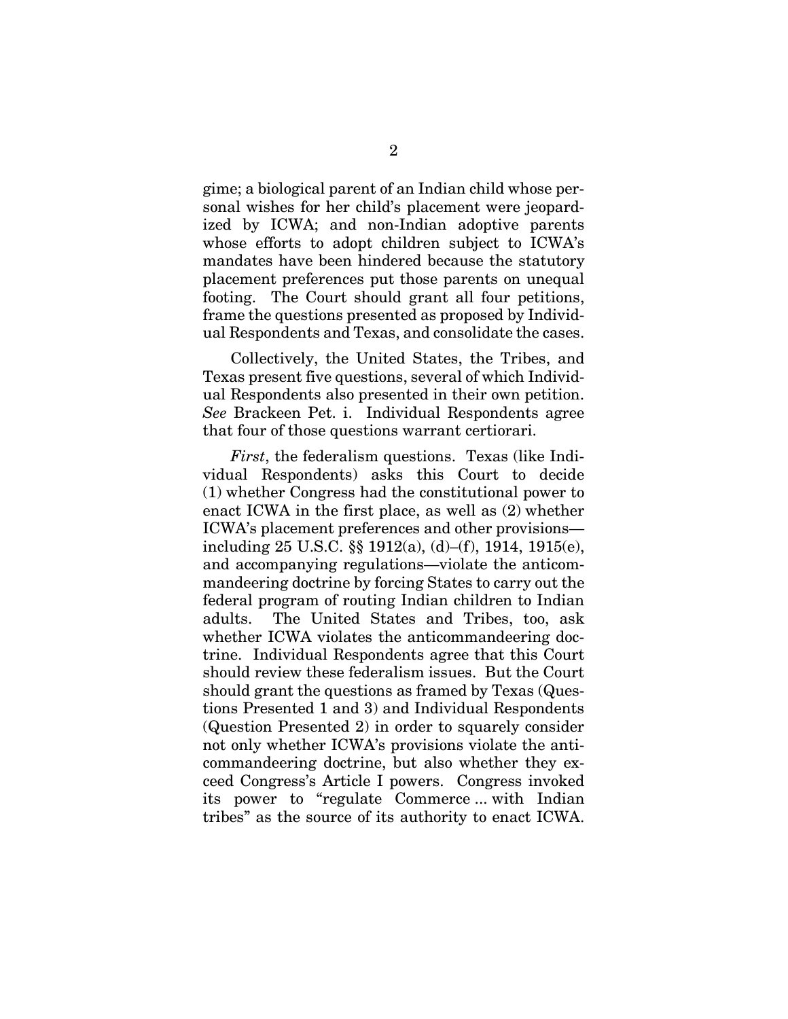gime; a biological parent of an Indian child whose personal wishes for her child's placement were jeopardized by ICWA; and non-Indian adoptive parents whose efforts to adopt children subject to ICWA's mandates have been hindered because the statutory placement preferences put those parents on unequal footing. The Court should grant all four petitions, frame the questions presented as proposed by Individual Respondents and Texas, and consolidate the cases.

Collectively, the United States, the Tribes, and Texas present five questions, several of which Individual Respondents also presented in their own petition. *See* Brackeen Pet. i. Individual Respondents agree that four of those questions warrant certiorari.

*First*, the federalism questions. Texas (like Individual Respondents) asks this Court to decide (1) whether Congress had the constitutional power to enact ICWA in the first place, as well as (2) whether ICWA's placement preferences and other provisions including 25 U.S.C. §§ 1912(a), (d)–(f), 1914, 1915(e), and accompanying regulations—violate the anticommandeering doctrine by forcing States to carry out the federal program of routing Indian children to Indian adults. The United States and Tribes, too, ask whether ICWA violates the anticommandeering doctrine. Individual Respondents agree that this Court should review these federalism issues. But the Court should grant the questions as framed by Texas (Questions Presented 1 and 3) and Individual Respondents (Question Presented 2) in order to squarely consider not only whether ICWA's provisions violate the anticommandeering doctrine, but also whether they exceed Congress's Article I powers. Congress invoked its power to "regulate Commerce ... with Indian tribes" as the source of its authority to enact ICWA.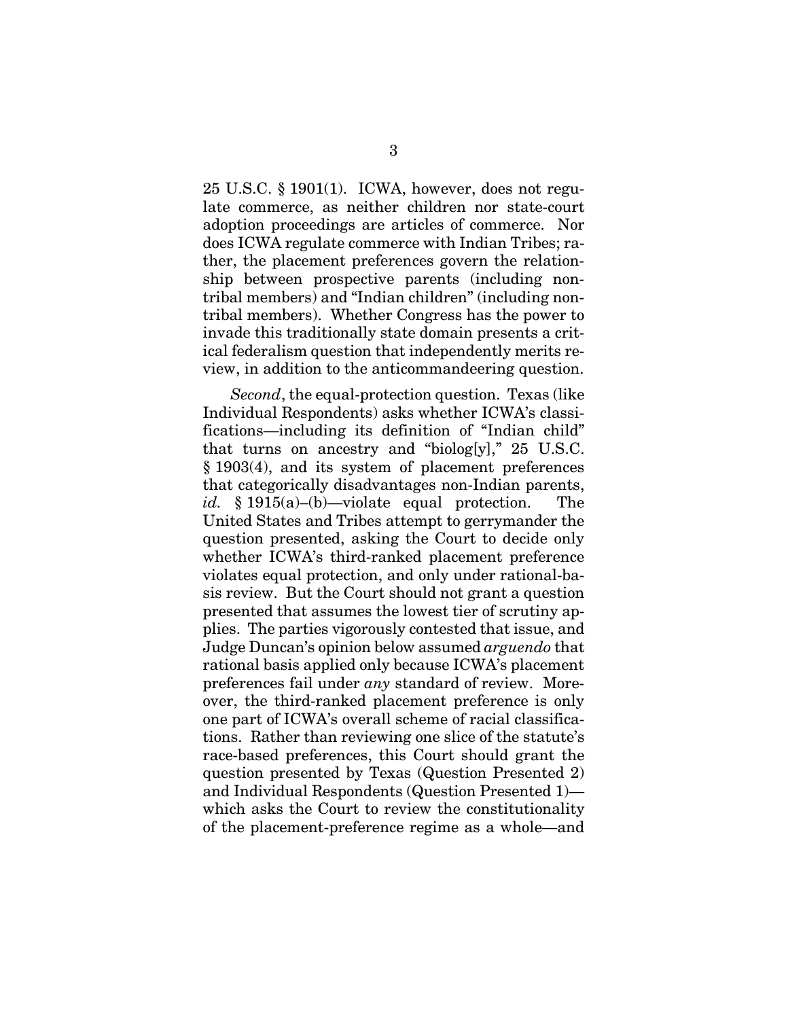25 U.S.C. § 1901(1). ICWA, however, does not regulate commerce, as neither children nor state-court adoption proceedings are articles of commerce. Nor does ICWA regulate commerce with Indian Tribes; rather, the placement preferences govern the relationship between prospective parents (including nontribal members) and "Indian children" (including nontribal members). Whether Congress has the power to invade this traditionally state domain presents a critical federalism question that independently merits review, in addition to the anticommandeering question.

*Second*, the equal-protection question. Texas (like Individual Respondents) asks whether ICWA's classifications—including its definition of "Indian child" that turns on ancestry and "biolog[y]," 25 U.S.C. § 1903(4), and its system of placement preferences that categorically disadvantages non-Indian parents, *id.* § 1915(a)–(b)—violate equal protection. The United States and Tribes attempt to gerrymander the question presented, asking the Court to decide only whether ICWA's third-ranked placement preference violates equal protection, and only under rational-basis review. But the Court should not grant a question presented that assumes the lowest tier of scrutiny applies. The parties vigorously contested that issue, and Judge Duncan's opinion below assumed *arguendo* that rational basis applied only because ICWA's placement preferences fail under *any* standard of review. Moreover, the third-ranked placement preference is only one part of ICWA's overall scheme of racial classifications. Rather than reviewing one slice of the statute's race-based preferences, this Court should grant the question presented by Texas (Question Presented 2) and Individual Respondents (Question Presented 1) which asks the Court to review the constitutionality of the placement-preference regime as a whole—and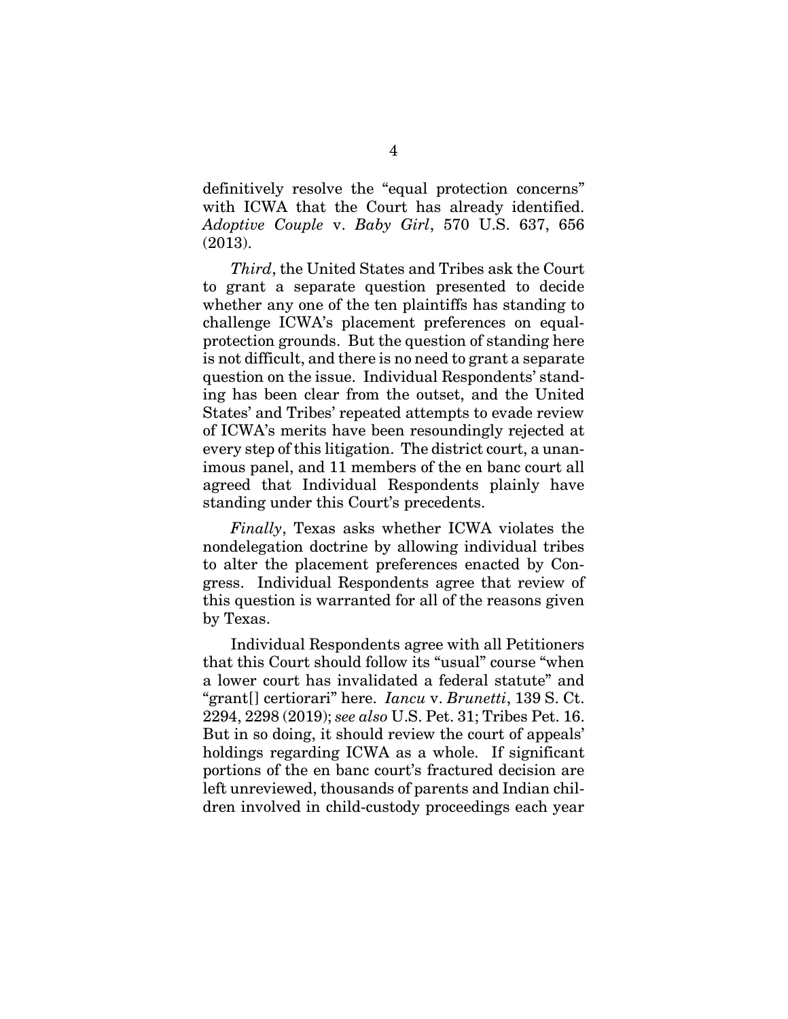definitively resolve the "equal protection concerns" with ICWA that the Court has already identified. *Adoptive Couple* v. *Baby Girl*, 570 U.S. 637, 656 (2013).

*Third*, the United States and Tribes ask the Court to grant a separate question presented to decide whether any one of the ten plaintiffs has standing to challenge ICWA's placement preferences on equalprotection grounds. But the question of standing here is not difficult, and there is no need to grant a separate question on the issue. Individual Respondents' standing has been clear from the outset, and the United States' and Tribes' repeated attempts to evade review of ICWA's merits have been resoundingly rejected at every step of this litigation. The district court, a unanimous panel, and 11 members of the en banc court all agreed that Individual Respondents plainly have standing under this Court's precedents.

*Finally*, Texas asks whether ICWA violates the nondelegation doctrine by allowing individual tribes to alter the placement preferences enacted by Congress. Individual Respondents agree that review of this question is warranted for all of the reasons given by Texas.

Individual Respondents agree with all Petitioners that this Court should follow its "usual" course "when a lower court has invalidated a federal statute" and "grant[] certiorari" here. *Iancu* v. *Brunetti*, 139 S. Ct. 2294, 2298 (2019); *see also* U.S. Pet. 31; Tribes Pet. 16. But in so doing, it should review the court of appeals' holdings regarding ICWA as a whole. If significant portions of the en banc court's fractured decision are left unreviewed, thousands of parents and Indian children involved in child-custody proceedings each year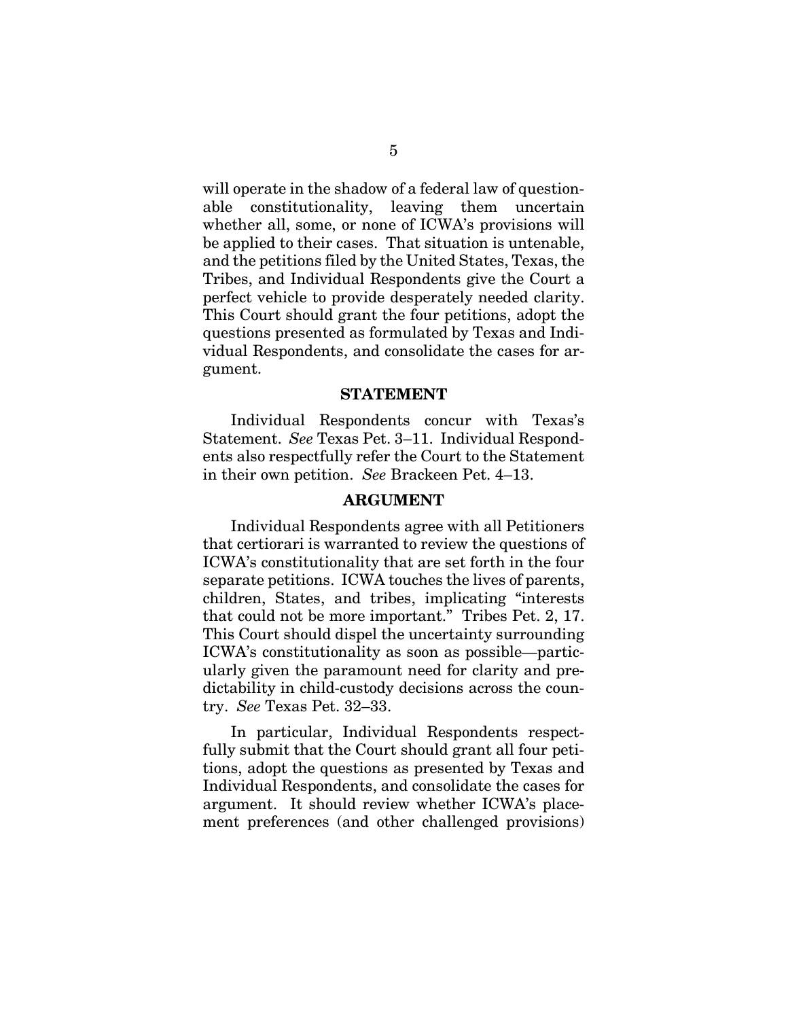will operate in the shadow of a federal law of questionable constitutionality, leaving them uncertain whether all, some, or none of ICWA's provisions will be applied to their cases. That situation is untenable, and the petitions filed by the United States, Texas, the Tribes, and Individual Respondents give the Court a perfect vehicle to provide desperately needed clarity. This Court should grant the four petitions, adopt the questions presented as formulated by Texas and Individual Respondents, and consolidate the cases for argument.

#### **STATEMENT**

<span id="page-13-0"></span>Individual Respondents concur with Texas's Statement. *See* Texas Pet. 3–11. Individual Respondents also respectfully refer the Court to the Statement in their own petition. *See* Brackeen Pet. 4–13.

#### **ARGUMENT**

<span id="page-13-1"></span>Individual Respondents agree with all Petitioners that certiorari is warranted to review the questions of ICWA's constitutionality that are set forth in the four separate petitions. ICWA touches the lives of parents, children, States, and tribes, implicating "interests that could not be more important." Tribes Pet. 2, 17. This Court should dispel the uncertainty surrounding ICWA's constitutionality as soon as possible—particularly given the paramount need for clarity and predictability in child-custody decisions across the country. *See* Texas Pet. 32–33.

In particular, Individual Respondents respectfully submit that the Court should grant all four petitions, adopt the questions as presented by Texas and Individual Respondents, and consolidate the cases for argument. It should review whether ICWA's placement preferences (and other challenged provisions)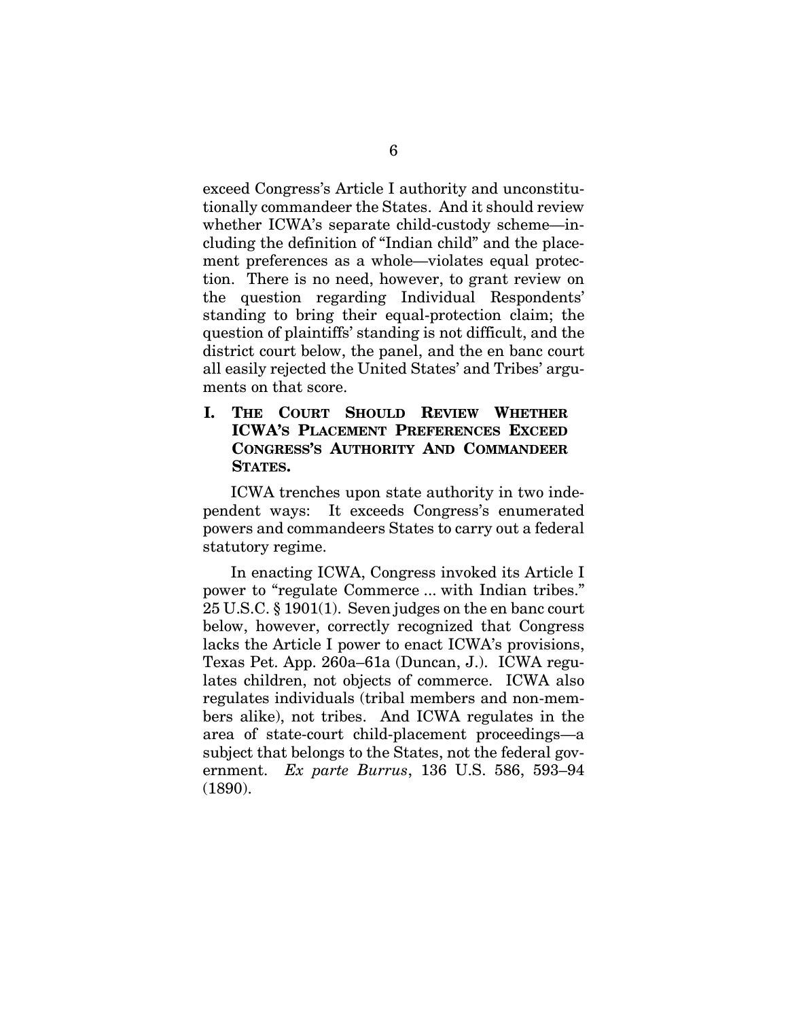exceed Congress's Article I authority and unconstitutionally commandeer the States. And it should review whether ICWA's separate child-custody scheme—including the definition of "Indian child" and the placement preferences as a whole—violates equal protection. There is no need, however, to grant review on the question regarding Individual Respondents' standing to bring their equal-protection claim; the question of plaintiffs' standing is not difficult, and the district court below, the panel, and the en banc court all easily rejected the United States' and Tribes' arguments on that score.

<span id="page-14-0"></span>**I. THE COURT SHOULD REVIEW WHETHER ICWA'S PLACEMENT PREFERENCES EXCEED CONGRESS'S AUTHORITY AND COMMANDEER STATES.** 

ICWA trenches upon state authority in two independent ways: It exceeds Congress's enumerated powers and commandeers States to carry out a federal statutory regime.

In enacting ICWA, Congress invoked its Article I power to "regulate Commerce ... with Indian tribes." 25 U.S.C. § 1901(1). Seven judges on the en banc court below, however, correctly recognized that Congress lacks the Article I power to enact ICWA's provisions, Texas Pet. App. 260a–61a (Duncan, J.). ICWA regulates children, not objects of commerce. ICWA also regulates individuals (tribal members and non-members alike), not tribes. And ICWA regulates in the area of state-court child-placement proceedings—a subject that belongs to the States, not the federal government. *Ex parte Burrus*, 136 U.S. 586, 593–94 (1890).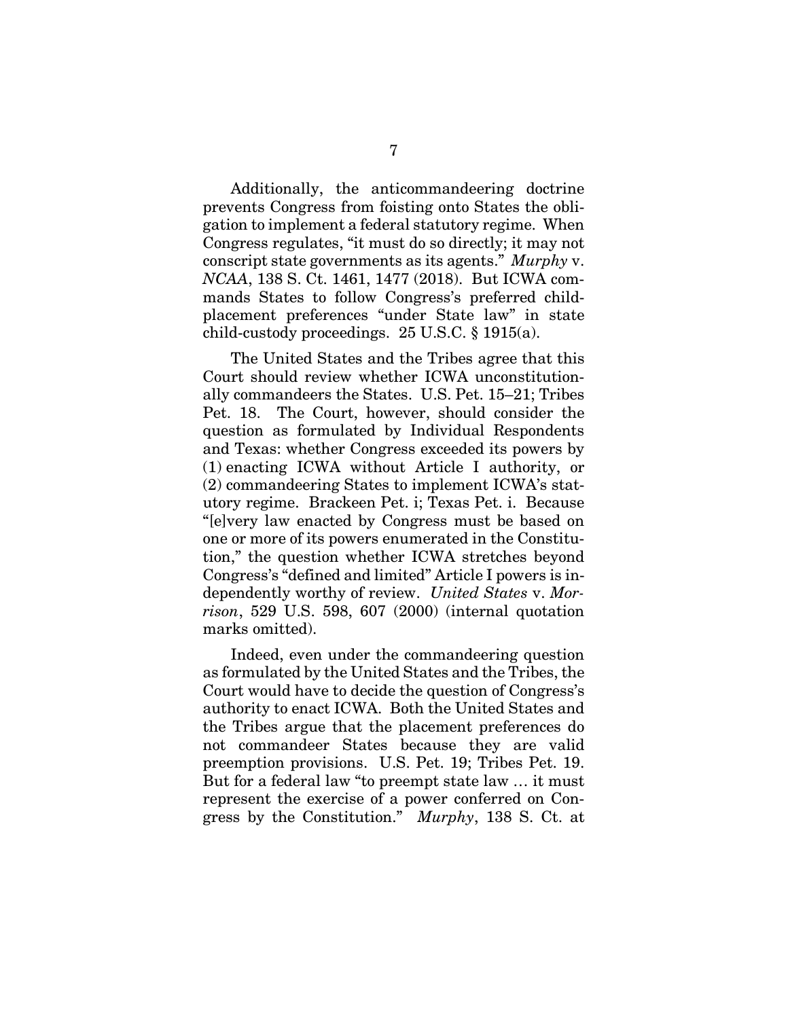Additionally, the anticommandeering doctrine prevents Congress from foisting onto States the obligation to implement a federal statutory regime. When Congress regulates, "it must do so directly; it may not conscript state governments as its agents." *Murphy* v. *NCAA*, 138 S. Ct. 1461, 1477 (2018). But ICWA commands States to follow Congress's preferred childplacement preferences "under State law" in state child-custody proceedings. 25 U.S.C. § 1915(a).

The United States and the Tribes agree that this Court should review whether ICWA unconstitutionally commandeers the States. U.S. Pet. 15–21; Tribes Pet. 18. The Court, however, should consider the question as formulated by Individual Respondents and Texas: whether Congress exceeded its powers by (1) enacting ICWA without Article I authority, or (2) commandeering States to implement ICWA's statutory regime. Brackeen Pet. i; Texas Pet. i. Because "[e]very law enacted by Congress must be based on one or more of its powers enumerated in the Constitution," the question whether ICWA stretches beyond Congress's "defined and limited" Article I powers is independently worthy of review. *United States* v. *Morrison*, 529 U.S. 598, 607 (2000) (internal quotation marks omitted).

Indeed, even under the commandeering question as formulated by the United States and the Tribes, the Court would have to decide the question of Congress's authority to enact ICWA. Both the United States and the Tribes argue that the placement preferences do not commandeer States because they are valid preemption provisions. U.S. Pet. 19; Tribes Pet. 19. But for a federal law "to preempt state law … it must represent the exercise of a power conferred on Congress by the Constitution." *Murphy*, 138 S. Ct. at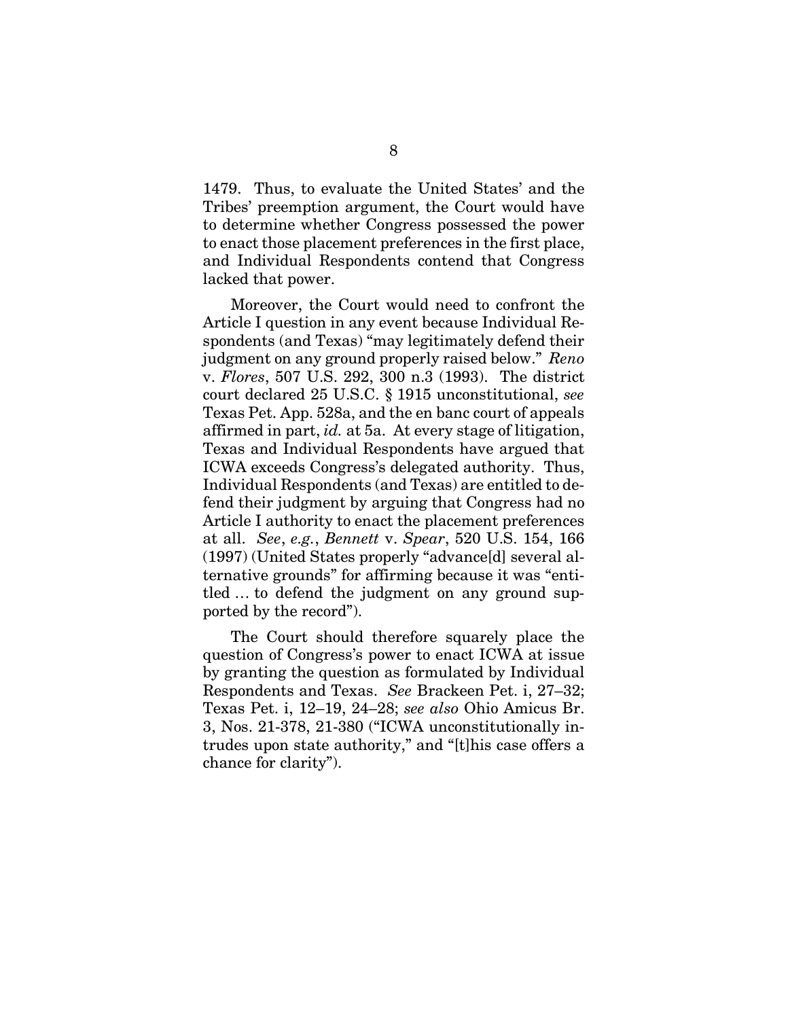1479. Thus, to evaluate the United States' and the Tribes' preemption argument, the Court would have to determine whether Congress possessed the power to enact those placement preferences in the first place, and Individual Respondents contend that Congress lacked that power.

Moreover, the Court would need to confront the Article I question in any event because Individual Respondents (and Texas) "may legitimately defend their judgment on any ground properly raised below." *Reno*  v. *Flores*, 507 U.S. 292, 300 n.3 (1993). The district court declared 25 U.S.C. § 1915 unconstitutional, *see*  Texas Pet. App. 528a, and the en banc court of appeals affirmed in part, *id.* at 5a. At every stage of litigation, Texas and Individual Respondents have argued that ICWA exceeds Congress's delegated authority. Thus, Individual Respondents (and Texas) are entitled to defend their judgment by arguing that Congress had no Article I authority to enact the placement preferences at all. *See*, *e.g.*, *Bennett* v. *Spear*, 520 U.S. 154, 166 (1997) (United States properly "advance[d] several alternative grounds" for affirming because it was "entitled … to defend the judgment on any ground supported by the record").

The Court should therefore squarely place the question of Congress's power to enact ICWA at issue by granting the question as formulated by Individual Respondents and Texas. *See* Brackeen Pet. i, 27–32; Texas Pet. i, 12–19, 24–28; *see also* Ohio Amicus Br. 3, Nos. 21-378, 21-380 ("ICWA unconstitutionally intrudes upon state authority," and "[t]his case offers a chance for clarity").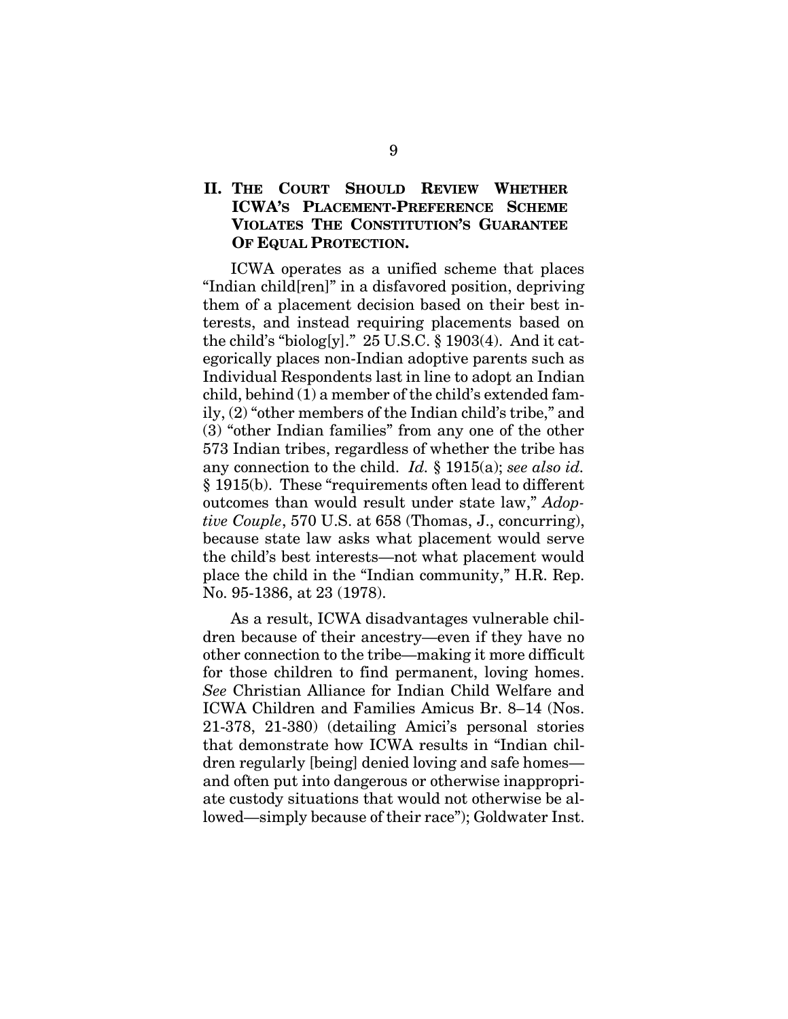## <span id="page-17-0"></span>**II. THE COURT SHOULD REVIEW WHETHER ICWA'S PLACEMENT-PREFERENCE SCHEME VIOLATES THE CONSTITUTION'S GUARANTEE OF EQUAL PROTECTION.**

ICWA operates as a unified scheme that places "Indian child[ren]" in a disfavored position, depriving them of a placement decision based on their best interests, and instead requiring placements based on the child's "biolog[y]."  $25$  U.S.C. § 1903(4). And it categorically places non-Indian adoptive parents such as Individual Respondents last in line to adopt an Indian child, behind (1) a member of the child's extended family, (2) "other members of the Indian child's tribe," and (3) "other Indian families" from any one of the other 573 Indian tribes, regardless of whether the tribe has any connection to the child. *Id.* § 1915(a); *see also id.* § 1915(b). These "requirements often lead to different outcomes than would result under state law," *Adoptive Couple*, 570 U.S. at 658 (Thomas, J., concurring), because state law asks what placement would serve the child's best interests—not what placement would place the child in the "Indian community," H.R. Rep. No. 95-1386, at 23 (1978).

As a result, ICWA disadvantages vulnerable children because of their ancestry—even if they have no other connection to the tribe—making it more difficult for those children to find permanent, loving homes. *See* Christian Alliance for Indian Child Welfare and ICWA Children and Families Amicus Br. 8–14 (Nos. 21-378, 21-380) (detailing Amici's personal stories that demonstrate how ICWA results in "Indian children regularly [being] denied loving and safe homes and often put into dangerous or otherwise inappropriate custody situations that would not otherwise be allowed—simply because of their race"); Goldwater Inst.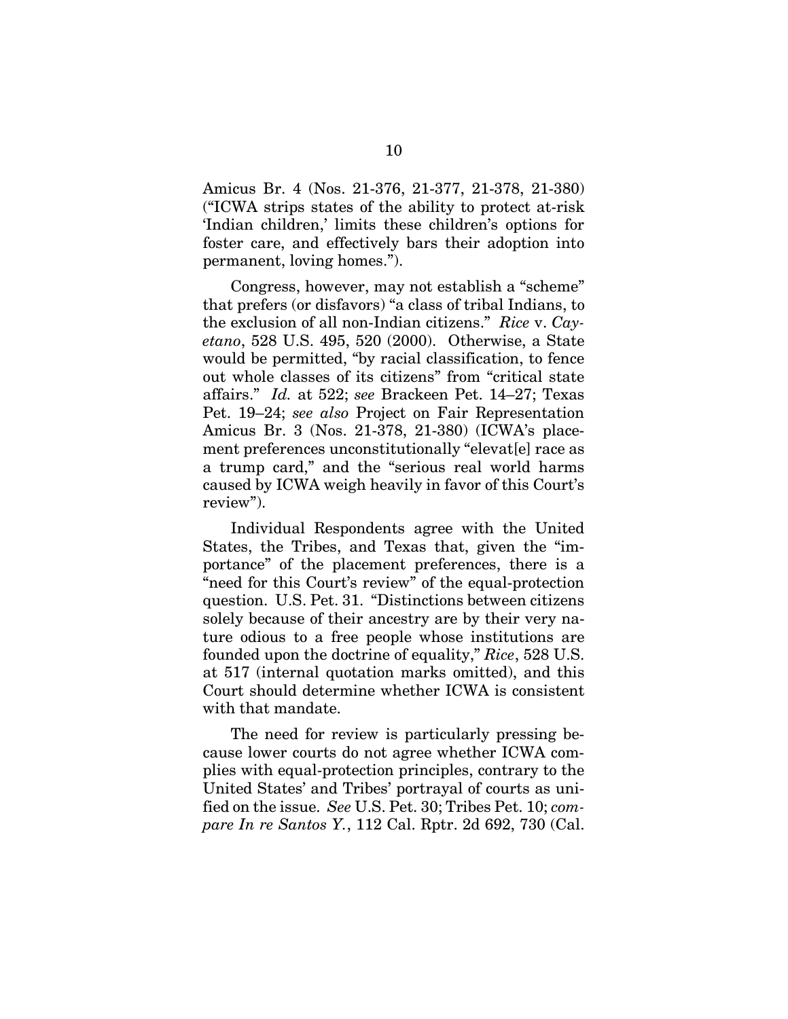Amicus Br. 4 (Nos. 21-376, 21-377, 21-378, 21-380) ("ICWA strips states of the ability to protect at-risk 'Indian children,' limits these children's options for foster care, and effectively bars their adoption into permanent, loving homes.").

Congress, however, may not establish a "scheme" that prefers (or disfavors) "a class of tribal Indians, to the exclusion of all non-Indian citizens." *Rice* v. *Cayetano*, 528 U.S. 495, 520 (2000). Otherwise, a State would be permitted, "by racial classification, to fence out whole classes of its citizens" from "critical state affairs." *Id.* at 522; *see* Brackeen Pet. 14–27; Texas Pet. 19–24; *see also* Project on Fair Representation Amicus Br. 3 (Nos. 21-378, 21-380) (ICWA's placement preferences unconstitutionally "elevat[e] race as a trump card," and the "serious real world harms caused by ICWA weigh heavily in favor of this Court's review").

Individual Respondents agree with the United States, the Tribes, and Texas that, given the "importance" of the placement preferences, there is a "need for this Court's review" of the equal-protection question. U.S. Pet. 31. "Distinctions between citizens solely because of their ancestry are by their very nature odious to a free people whose institutions are founded upon the doctrine of equality," *Rice*, 528 U.S. at 517 (internal quotation marks omitted), and this Court should determine whether ICWA is consistent with that mandate.

The need for review is particularly pressing because lower courts do not agree whether ICWA complies with equal-protection principles, contrary to the United States' and Tribes' portrayal of courts as unified on the issue. *See* U.S. Pet. 30; Tribes Pet. 10; *compare In re Santos Y.*, 112 Cal. Rptr. 2d 692, 730 (Cal.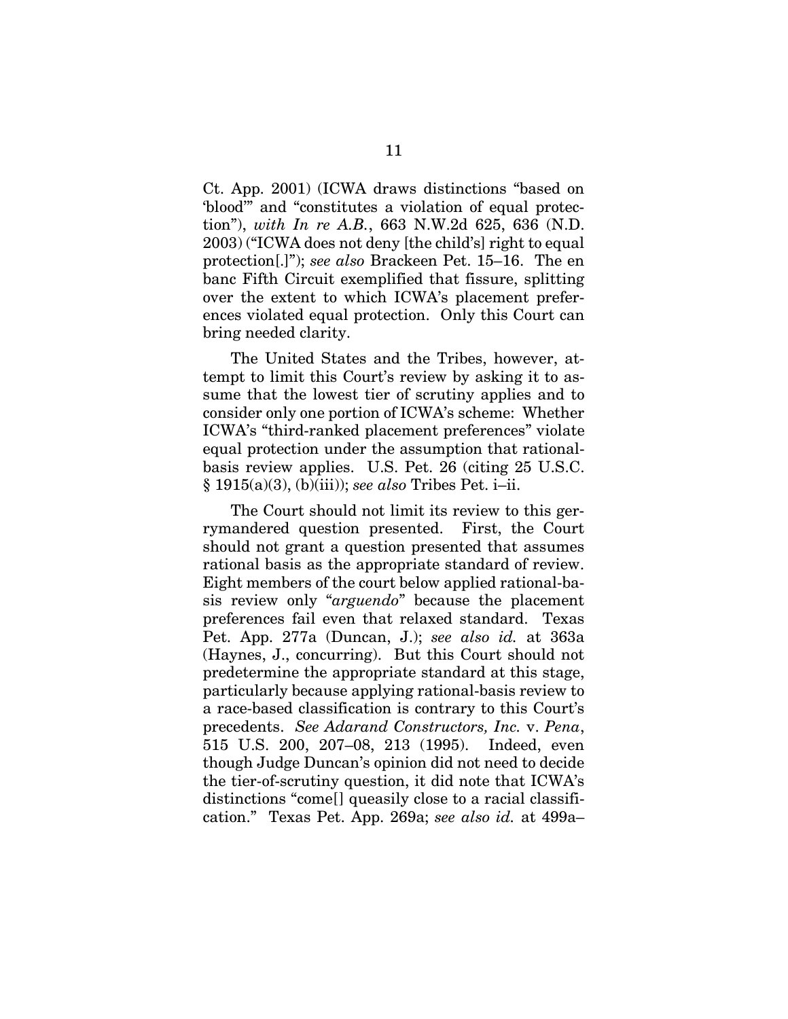Ct. App. 2001) (ICWA draws distinctions "based on 'blood'" and "constitutes a violation of equal protection"), *with In re A.B.*, 663 N.W.2d 625, 636 (N.D. 2003) ("ICWA does not deny [the child's] right to equal protection[.]"); *see also* Brackeen Pet. 15–16. The en banc Fifth Circuit exemplified that fissure, splitting over the extent to which ICWA's placement preferences violated equal protection. Only this Court can bring needed clarity.

The United States and the Tribes, however, attempt to limit this Court's review by asking it to assume that the lowest tier of scrutiny applies and to consider only one portion of ICWA's scheme: Whether ICWA's "third-ranked placement preferences" violate equal protection under the assumption that rationalbasis review applies. U.S. Pet. 26 (citing 25 U.S.C. § 1915(a)(3), (b)(iii)); *see also* Tribes Pet. i–ii.

The Court should not limit its review to this gerrymandered question presented. First, the Court should not grant a question presented that assumes rational basis as the appropriate standard of review. Eight members of the court below applied rational-basis review only "*arguendo*" because the placement preferences fail even that relaxed standard. Texas Pet. App. 277a (Duncan, J.); *see also id.* at 363a (Haynes, J., concurring). But this Court should not predetermine the appropriate standard at this stage, particularly because applying rational-basis review to a race-based classification is contrary to this Court's precedents. *See Adarand Constructors, Inc.* v. *Pena*, 515 U.S. 200, 207–08, 213 (1995). Indeed, even though Judge Duncan's opinion did not need to decide the tier-of-scrutiny question, it did note that ICWA's distinctions "come[] queasily close to a racial classification." Texas Pet. App. 269a; *see also id.* at 499a–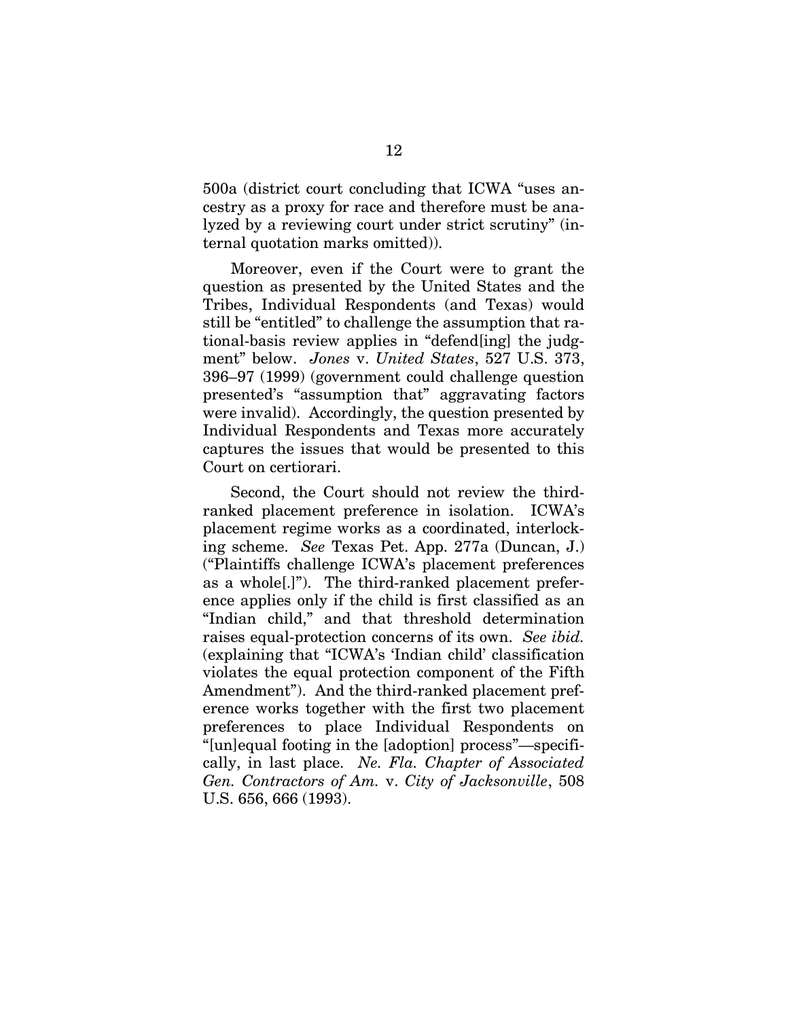500a (district court concluding that ICWA "uses ancestry as a proxy for race and therefore must be analyzed by a reviewing court under strict scrutiny" (internal quotation marks omitted)).

Moreover, even if the Court were to grant the question as presented by the United States and the Tribes, Individual Respondents (and Texas) would still be "entitled" to challenge the assumption that rational-basis review applies in "defend[ing] the judgment" below. *Jones* v. *United States*, 527 U.S. 373, 396–97 (1999) (government could challenge question presented's "assumption that" aggravating factors were invalid). Accordingly, the question presented by Individual Respondents and Texas more accurately captures the issues that would be presented to this Court on certiorari.

Second, the Court should not review the thirdranked placement preference in isolation. ICWA's placement regime works as a coordinated, interlocking scheme. *See* Texas Pet. App. 277a (Duncan, J.) ("Plaintiffs challenge ICWA's placement preferences as a whole[.]"). The third-ranked placement preference applies only if the child is first classified as an "Indian child," and that threshold determination raises equal-protection concerns of its own. *See ibid.*  (explaining that "ICWA's 'Indian child' classification violates the equal protection component of the Fifth Amendment"). And the third-ranked placement preference works together with the first two placement preferences to place Individual Respondents on "[un]equal footing in the [adoption] process"—specifically, in last place. *Ne. Fla. Chapter of Associated Gen. Contractors of Am.* v. *City of Jacksonville*, 508 U.S. 656, 666 (1993).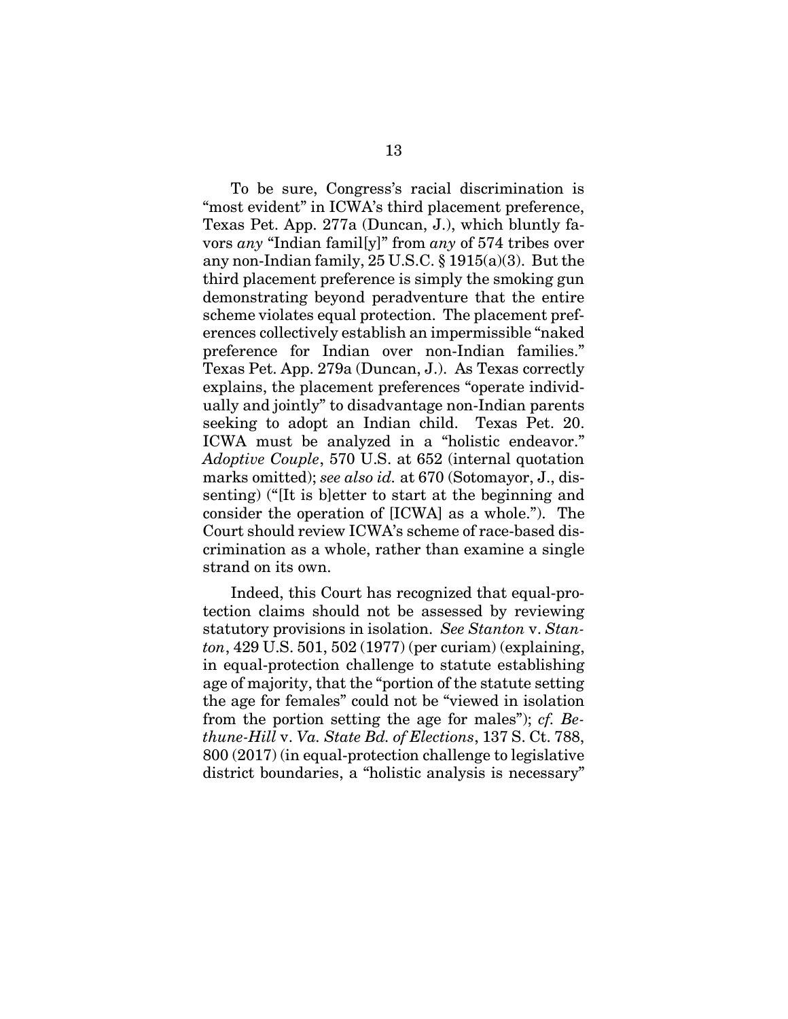To be sure, Congress's racial discrimination is "most evident" in ICWA's third placement preference, Texas Pet. App. 277a (Duncan, J.), which bluntly favors *any* "Indian famil[y]" from *any* of 574 tribes over any non-Indian family, 25 U.S.C. § 1915(a)(3). But the third placement preference is simply the smoking gun demonstrating beyond peradventure that the entire scheme violates equal protection. The placement preferences collectively establish an impermissible "naked preference for Indian over non-Indian families." Texas Pet. App. 279a (Duncan, J.). As Texas correctly explains, the placement preferences "operate individually and jointly" to disadvantage non-Indian parents seeking to adopt an Indian child. Texas Pet. 20. ICWA must be analyzed in a "holistic endeavor." *Adoptive Couple*, 570 U.S. at 652 (internal quotation marks omitted); *see also id.* at 670 (Sotomayor, J., dissenting) ("[It is b]etter to start at the beginning and consider the operation of [ICWA] as a whole."). The Court should review ICWA's scheme of race-based discrimination as a whole, rather than examine a single strand on its own.

Indeed, this Court has recognized that equal-protection claims should not be assessed by reviewing statutory provisions in isolation. *See Stanton* v. *Stanton*, 429 U.S. 501, 502 (1977) (per curiam) (explaining, in equal-protection challenge to statute establishing age of majority, that the "portion of the statute setting the age for females" could not be "viewed in isolation from the portion setting the age for males"); *cf. Bethune-Hill* v. *Va. State Bd. of Elections*, 137 S. Ct. 788, 800 (2017) (in equal-protection challenge to legislative district boundaries, a "holistic analysis is necessary"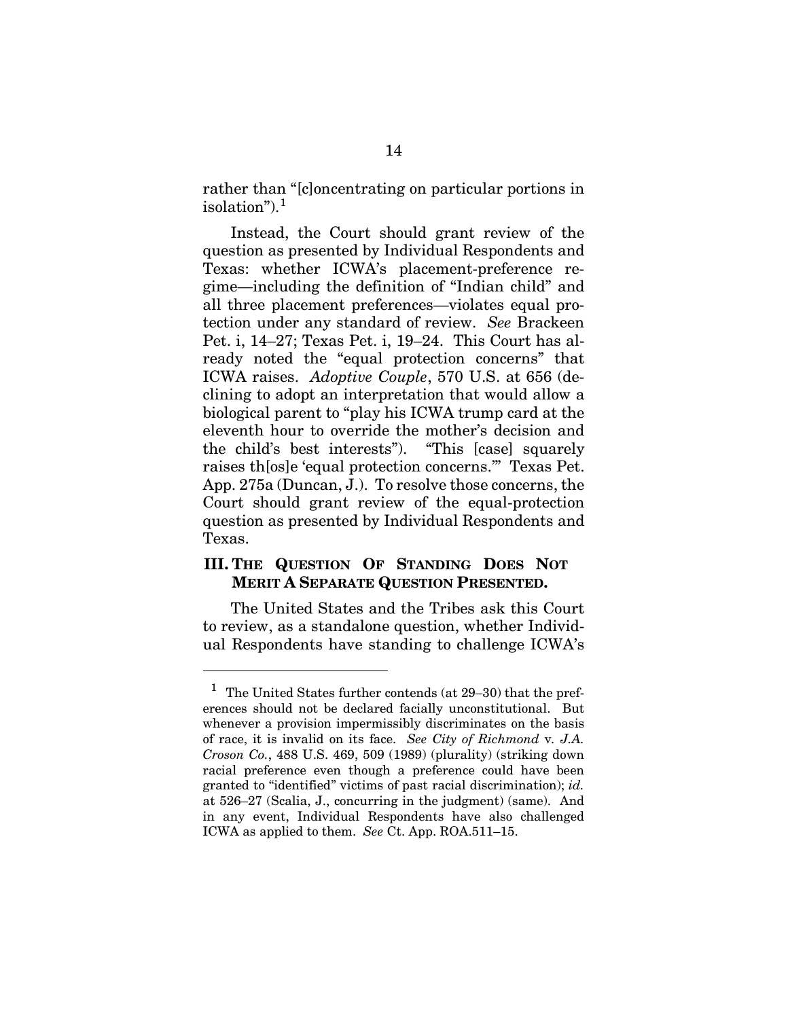rather than "[c]oncentrating on particular portions in isolation").[1](#page-22-1)

Instead, the Court should grant review of the question as presented by Individual Respondents and Texas: whether ICWA's placement-preference regime—including the definition of "Indian child" and all three placement preferences—violates equal protection under any standard of review. *See* Brackeen Pet. i, 14–27; Texas Pet. i, 19–24. This Court has already noted the "equal protection concerns" that ICWA raises. *Adoptive Couple*, 570 U.S. at 656 (declining to adopt an interpretation that would allow a biological parent to "play his ICWA trump card at the eleventh hour to override the mother's decision and the child's best interests"). "This [case] squarely raises th[os]e 'equal protection concerns.'" Texas Pet. App. 275a (Duncan, J.). To resolve those concerns, the Court should grant review of the equal-protection question as presented by Individual Respondents and Texas.

### <span id="page-22-0"></span>**III. THE QUESTION OF STANDING DOES NOT MERIT A SEPARATE QUESTION PRESENTED.**

The United States and the Tribes ask this Court to review, as a standalone question, whether Individual Respondents have standing to challenge ICWA's

l

<span id="page-22-1"></span><sup>&</sup>lt;sup>1</sup> The United States further contends (at  $29-30$ ) that the preferences should not be declared facially unconstitutional. But whenever a provision impermissibly discriminates on the basis of race, it is invalid on its face. *See City of Richmond* v*. J.A. Croson Co.*, 488 U.S. 469, 509 (1989) (plurality) (striking down racial preference even though a preference could have been granted to "identified" victims of past racial discrimination); *id.* at 526–27 (Scalia, J., concurring in the judgment) (same). And in any event, Individual Respondents have also challenged ICWA as applied to them. *See* Ct. App. ROA.511–15.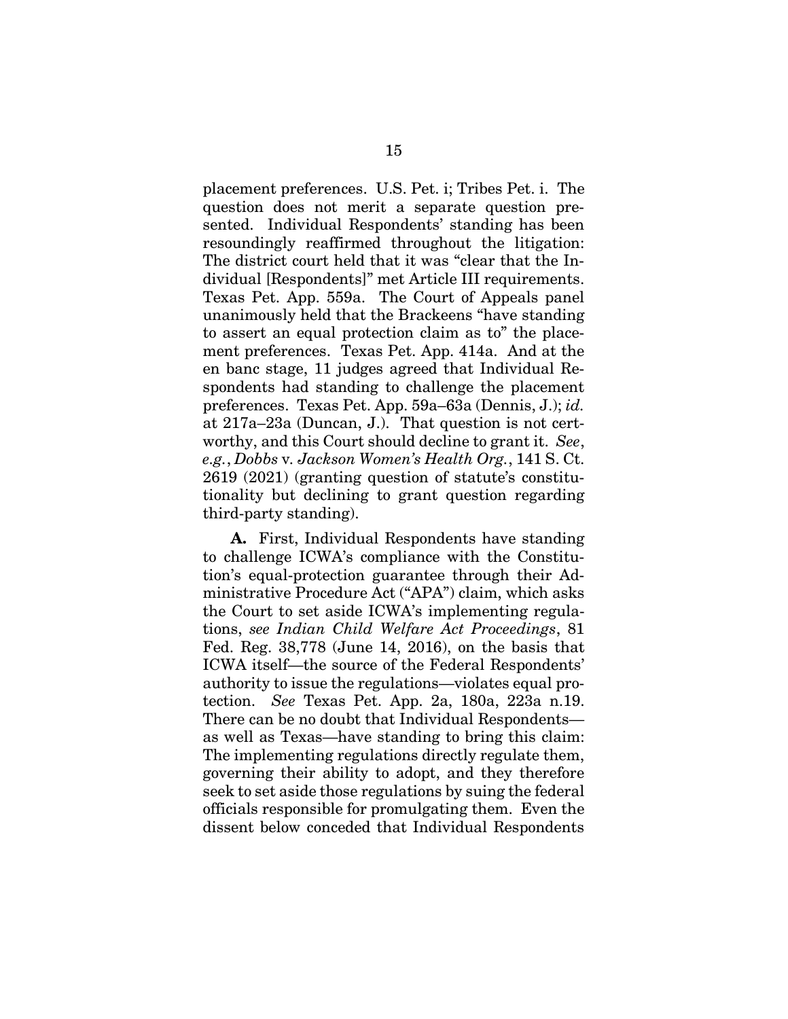placement preferences. U.S. Pet. i; Tribes Pet. i. The question does not merit a separate question presented. Individual Respondents' standing has been resoundingly reaffirmed throughout the litigation: The district court held that it was "clear that the Individual [Respondents]" met Article III requirements. Texas Pet. App. 559a. The Court of Appeals panel unanimously held that the Brackeens "have standing to assert an equal protection claim as to" the placement preferences. Texas Pet. App. 414a. And at the en banc stage, 11 judges agreed that Individual Respondents had standing to challenge the placement preferences. Texas Pet. App. 59a–63a (Dennis, J.); *id.*  at 217a–23a (Duncan, J.). That question is not certworthy, and this Court should decline to grant it. *See*, *e.g.*, *Dobbs* v*. Jackson Women's Health Org.*, 141 S. Ct. 2619 (2021) (granting question of statute's constitutionality but declining to grant question regarding third-party standing).

**A.** First, Individual Respondents have standing to challenge ICWA's compliance with the Constitution's equal-protection guarantee through their Administrative Procedure Act ("APA") claim, which asks the Court to set aside ICWA's implementing regulations, *see Indian Child Welfare Act Proceedings*, 81 Fed. Reg. 38,778 (June 14, 2016), on the basis that ICWA itself—the source of the Federal Respondents' authority to issue the regulations—violates equal protection. *See* Texas Pet. App. 2a, 180a, 223a n.19. There can be no doubt that Individual Respondents as well as Texas—have standing to bring this claim: The implementing regulations directly regulate them, governing their ability to adopt, and they therefore seek to set aside those regulations by suing the federal officials responsible for promulgating them. Even the dissent below conceded that Individual Respondents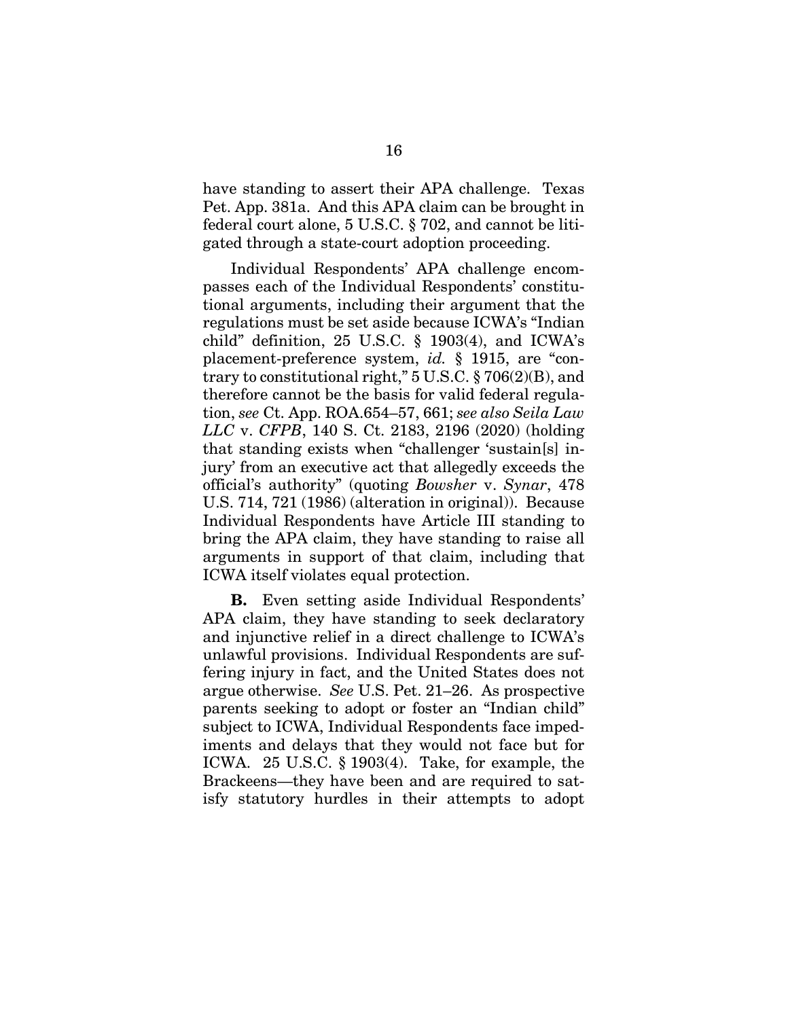have standing to assert their APA challenge. Texas Pet. App. 381a. And this APA claim can be brought in federal court alone, 5 U.S.C. § 702, and cannot be litigated through a state-court adoption proceeding.

Individual Respondents' APA challenge encompasses each of the Individual Respondents' constitutional arguments, including their argument that the regulations must be set aside because ICWA's "Indian child" definition, 25 U.S.C. § 1903(4), and ICWA's placement-preference system, *id.* § 1915, are "contrary to constitutional right," 5 U.S.C. § 706(2)(B), and therefore cannot be the basis for valid federal regulation, *see* Ct. App. ROA.654–57, 661; *see also Seila Law LLC* v. *CFPB*, 140 S. Ct. 2183, 2196 (2020) (holding that standing exists when "challenger 'sustain[s] injury' from an executive act that allegedly exceeds the official's authority" (quoting *Bowsher* v. *Synar*, 478 U.S. 714, 721 (1986) (alteration in original)). Because Individual Respondents have Article III standing to bring the APA claim, they have standing to raise all arguments in support of that claim, including that ICWA itself violates equal protection.

**B.** Even setting aside Individual Respondents' APA claim, they have standing to seek declaratory and injunctive relief in a direct challenge to ICWA's unlawful provisions. Individual Respondents are suffering injury in fact, and the United States does not argue otherwise. *See* U.S. Pet. 21–26. As prospective parents seeking to adopt or foster an "Indian child" subject to ICWA, Individual Respondents face impediments and delays that they would not face but for ICWA. 25 U.S.C. § 1903(4). Take, for example, the Brackeens—they have been and are required to satisfy statutory hurdles in their attempts to adopt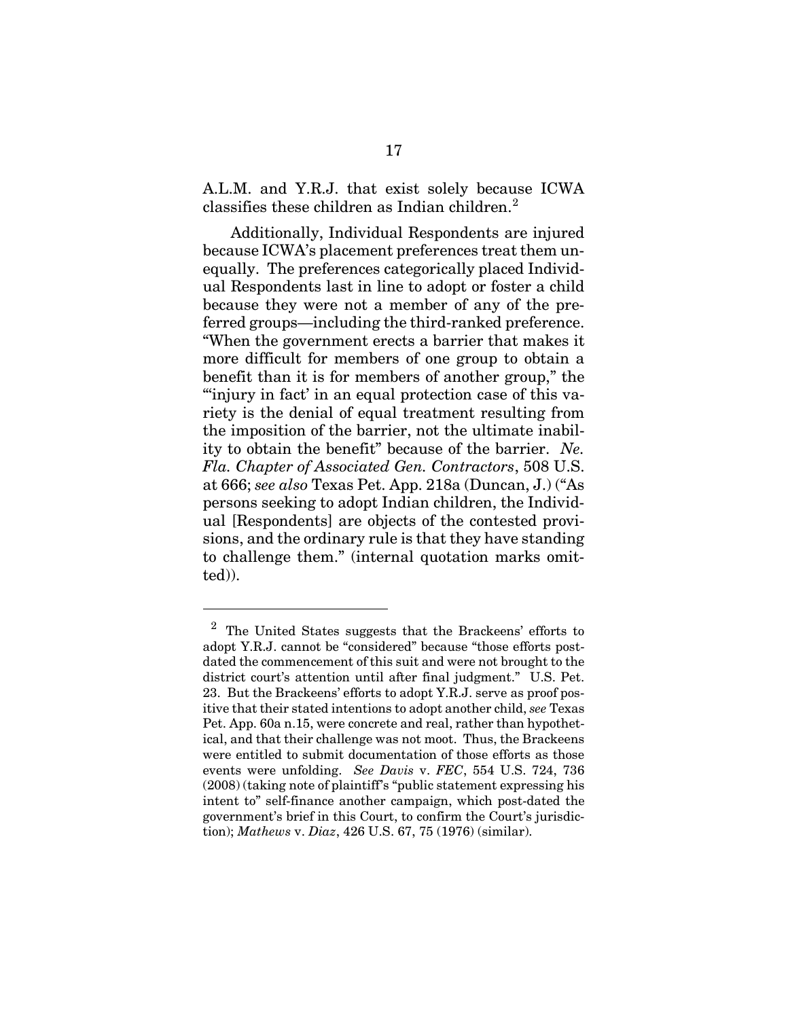A.L.M. and Y.R.J. that exist solely because ICWA classifies these children as Indian children.<sup>[2](#page-25-0)</sup>

Additionally, Individual Respondents are injured because ICWA's placement preferences treat them unequally. The preferences categorically placed Individual Respondents last in line to adopt or foster a child because they were not a member of any of the preferred groups—including the third-ranked preference. "When the government erects a barrier that makes it more difficult for members of one group to obtain a benefit than it is for members of another group," the "'injury in fact' in an equal protection case of this variety is the denial of equal treatment resulting from the imposition of the barrier, not the ultimate inability to obtain the benefit" because of the barrier. *Ne. Fla. Chapter of Associated Gen. Contractors*, 508 U.S. at 666; *see also* Texas Pet. App. 218a (Duncan, J.) ("As persons seeking to adopt Indian children, the Individual [Respondents] are objects of the contested provisions, and the ordinary rule is that they have standing to challenge them." (internal quotation marks omitted)).

l

<span id="page-25-0"></span><sup>2</sup> The United States suggests that the Brackeens' efforts to adopt Y.R.J. cannot be "considered" because "those efforts postdated the commencement of this suit and were not brought to the district court's attention until after final judgment." U.S. Pet. 23. But the Brackeens' efforts to adopt Y.R.J. serve as proof positive that their stated intentions to adopt another child, *see* Texas Pet. App. 60a n.15, were concrete and real, rather than hypothetical, and that their challenge was not moot. Thus, the Brackeens were entitled to submit documentation of those efforts as those events were unfolding. *See Davis* v. *FEC*, 554 U.S. 724, 736 (2008) (taking note of plaintiff's "public statement expressing his intent to" self-finance another campaign, which post-dated the government's brief in this Court, to confirm the Court's jurisdiction); *Mathews* v. *Diaz*, 426 U.S. 67, 75 (1976) (similar).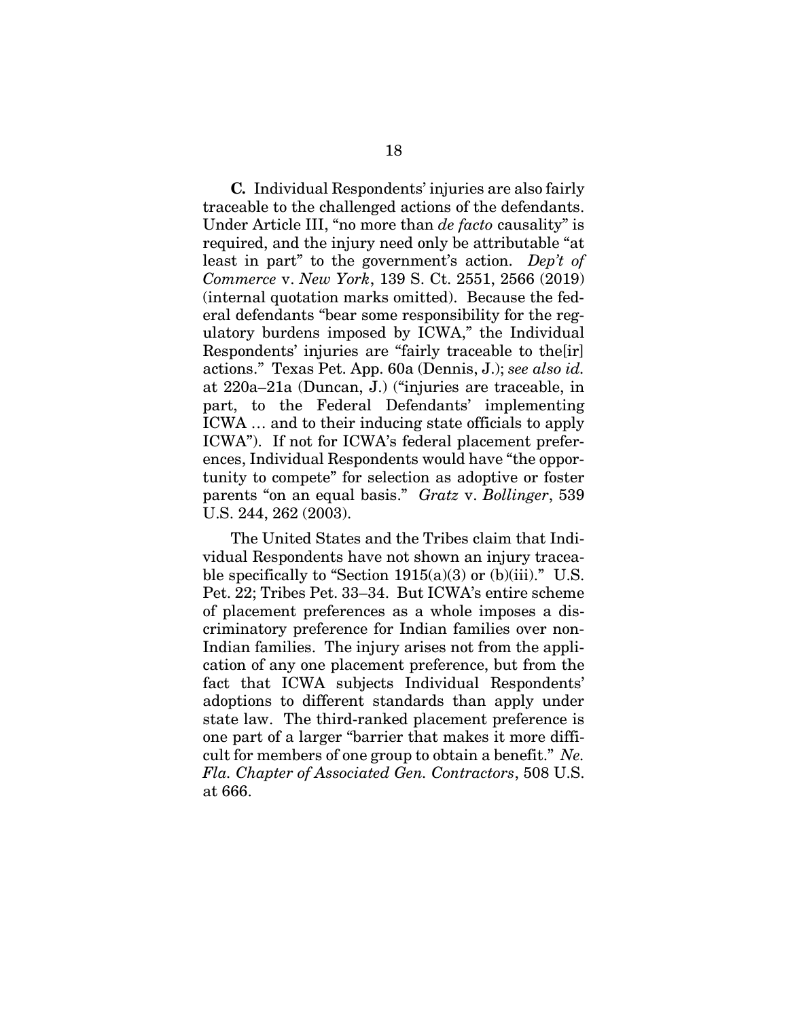**C***.* Individual Respondents' injuries are also fairly traceable to the challenged actions of the defendants. Under Article III, "no more than *de facto* causality" is required, and the injury need only be attributable "at least in part" to the government's action. *Dep't of Commerce* v. *New York*, 139 S. Ct. 2551, 2566 (2019) (internal quotation marks omitted). Because the federal defendants "bear some responsibility for the regulatory burdens imposed by ICWA," the Individual Respondents' injuries are "fairly traceable to the[ir] actions." Texas Pet. App. 60a (Dennis, J.); *see also id.* at 220a–21a (Duncan, J.) ("injuries are traceable, in part, to the Federal Defendants' implementing ICWA … and to their inducing state officials to apply ICWA"). If not for ICWA's federal placement preferences, Individual Respondents would have "the opportunity to compete" for selection as adoptive or foster parents "on an equal basis." *Gratz* v. *Bollinger*, 539 U.S. 244, 262 (2003).

The United States and the Tribes claim that Individual Respondents have not shown an injury traceable specifically to "Section  $1915(a)(3)$  or (b)(iii)." U.S. Pet. 22; Tribes Pet. 33–34. But ICWA's entire scheme of placement preferences as a whole imposes a discriminatory preference for Indian families over non-Indian families. The injury arises not from the application of any one placement preference, but from the fact that ICWA subjects Individual Respondents' adoptions to different standards than apply under state law. The third-ranked placement preference is one part of a larger "barrier that makes it more difficult for members of one group to obtain a benefit." *Ne. Fla. Chapter of Associated Gen. Contractors*, 508 U.S. at 666.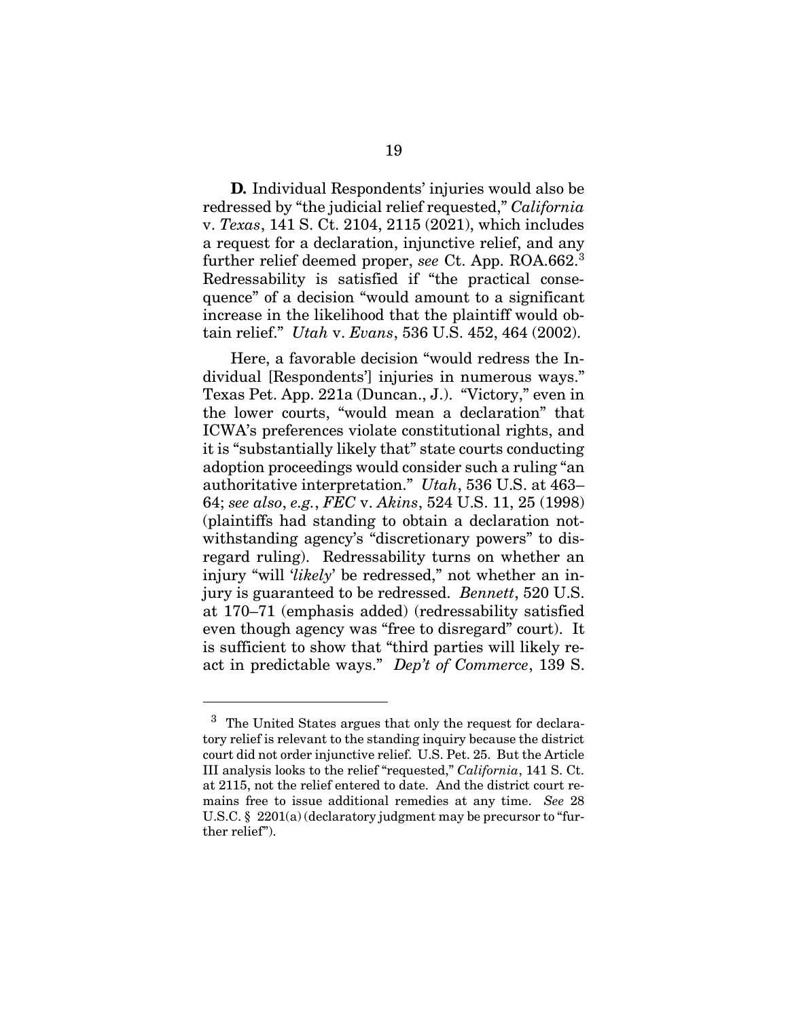**D***.* Individual Respondents' injuries would also be redressed by "the judicial relief requested," *California*  v. *Texas*, 141 S. Ct. 2104, 2115 (2021), which includes a request for a declaration, injunctive relief, and any further relief deemed proper, *see* Ct. App. ROA.662. [3](#page-27-0) Redressability is satisfied if "the practical consequence" of a decision "would amount to a significant increase in the likelihood that the plaintiff would obtain relief." *Utah* v. *Evans*, 536 U.S. 452, 464 (2002).

Here, a favorable decision "would redress the Individual [Respondents'] injuries in numerous ways." Texas Pet. App. 221a (Duncan., J.). "Victory," even in the lower courts, "would mean a declaration" that ICWA's preferences violate constitutional rights, and it is "substantially likely that" state courts conducting adoption proceedings would consider such a ruling "an authoritative interpretation." *Utah*, 536 U.S. at 463– 64; *see also*, *e.g.*, *FEC* v. *Akins*, 524 U.S. 11, 25 (1998) (plaintiffs had standing to obtain a declaration notwithstanding agency's "discretionary powers" to disregard ruling). Redressability turns on whether an injury "will '*likely*' be redressed," not whether an injury is guaranteed to be redressed. *Bennett*, 520 U.S. at 170–71 (emphasis added) (redressability satisfied even though agency was "free to disregard" court). It is sufficient to show that "third parties will likely react in predictable ways." *Dep't of Commerce*, 139 S.

l

<span id="page-27-0"></span><sup>3</sup> The United States argues that only the request for declaratory relief is relevant to the standing inquiry because the district court did not order injunctive relief. U.S. Pet. 25. But the Article III analysis looks to the relief "requested," *California*, 141 S. Ct. at 2115, not the relief entered to date. And the district court remains free to issue additional remedies at any time. *See* 28 U.S.C. § 2201(a) (declaratory judgment may be precursor to "further relief").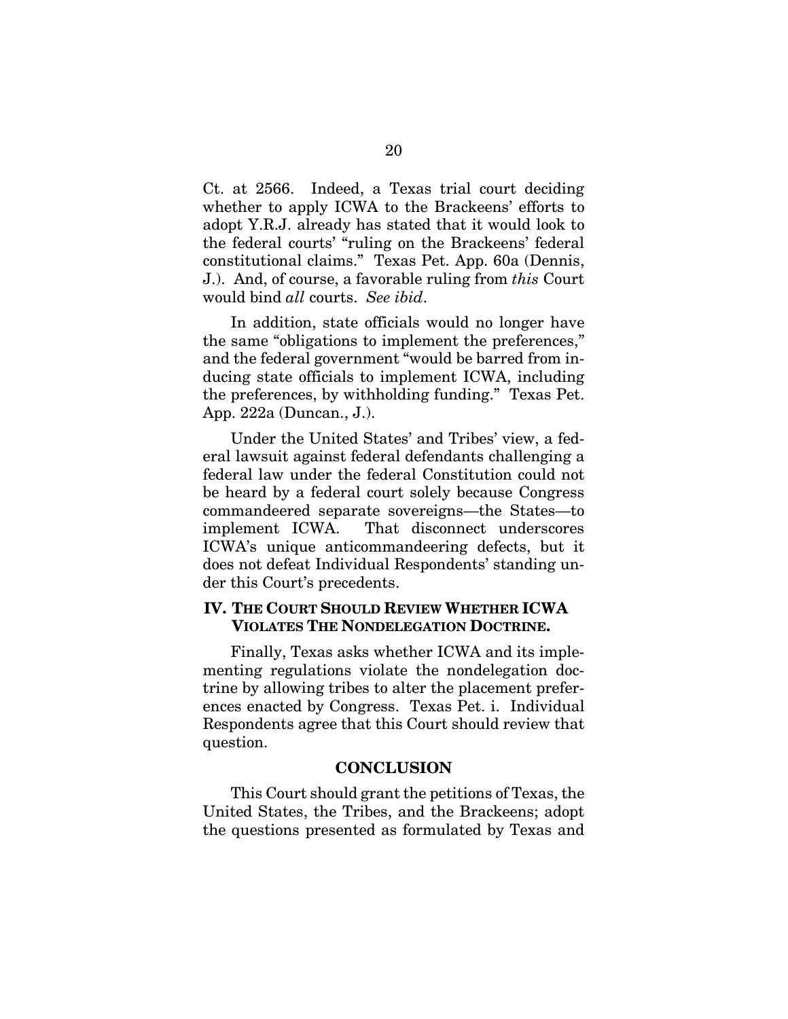Ct. at 2566. Indeed, a Texas trial court deciding whether to apply ICWA to the Brackeens' efforts to adopt Y.R.J. already has stated that it would look to the federal courts' "ruling on the Brackeens' federal constitutional claims." Texas Pet. App. 60a (Dennis, J.). And, of course, a favorable ruling from *this* Court would bind *all* courts. *See ibid*.

In addition, state officials would no longer have the same "obligations to implement the preferences," and the federal government "would be barred from inducing state officials to implement ICWA, including the preferences, by withholding funding." Texas Pet. App. 222a (Duncan., J.).

Under the United States' and Tribes' view, a federal lawsuit against federal defendants challenging a federal law under the federal Constitution could not be heard by a federal court solely because Congress commandeered separate sovereigns—the States—to implement ICWA. That disconnect underscores ICWA's unique anticommandeering defects, but it does not defeat Individual Respondents' standing under this Court's precedents.

### <span id="page-28-0"></span>**IV. THE COURT SHOULD REVIEW WHETHER ICWA VIOLATES THE NONDELEGATION DOCTRINE.**

Finally, Texas asks whether ICWA and its implementing regulations violate the nondelegation doctrine by allowing tribes to alter the placement preferences enacted by Congress. Texas Pet. i. Individual Respondents agree that this Court should review that question.

### **CONCLUSION**

<span id="page-28-1"></span>This Court should grant the petitions of Texas, the United States, the Tribes, and the Brackeens; adopt the questions presented as formulated by Texas and